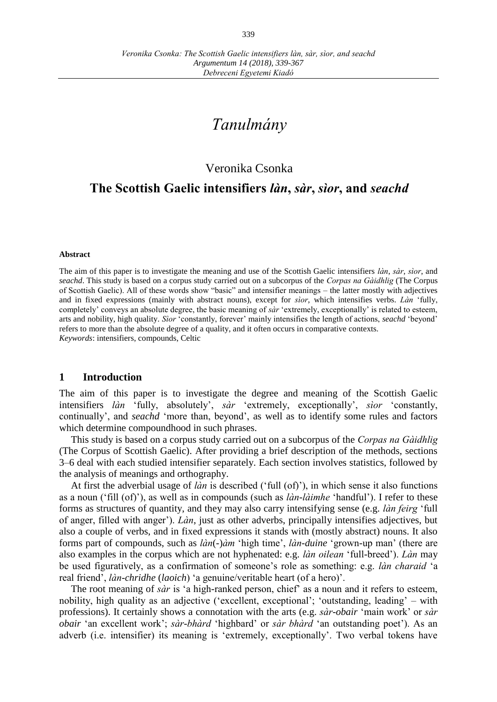# *Tanulmány*

## Veronika Csonka

## **The Scottish Gaelic intensifiers** *làn***,** *sàr***,** *sìor***, and** *seachd*

#### **Abstract**

The aim of this paper is to investigate the meaning and use of the Scottish Gaelic intensifiers *làn*, *sàr*, *sìor*, and *seachd*. This study is based on a corpus study carried out on a subcorpus of the *Corpas na Gàidhlig* (The Corpus of Scottish Gaelic). All of these words show "basic" and intensifier meanings – the latter mostly with adjectives and in fixed expressions (mainly with abstract nouns), except for *sìor*, which intensifies verbs. *Làn* ʻfully, completely' conveys an absolute degree, the basic meaning of *sàr* ʻextremely, exceptionally' is related to esteem, arts and nobility, high quality. *Sìor* ʻconstantly, forever' mainly intensifies the length of actions, *seachd* ʻbeyond' refers to more than the absolute degree of a quality, and it often occurs in comparative contexts. *Keywords*: intensifiers, compounds, Celtic

### **1 Introduction**

The aim of this paper is to investigate the degree and meaning of the Scottish Gaelic intensifiers *làn* ʻfully, absolutely', *sàr* ʻextremely, exceptionally', *sìor* ʻconstantly, continually', and *seachd* ʻmore than, beyond', as well as to identify some rules and factors which determine compoundhood in such phrases.

This study is based on a corpus study carried out on a subcorpus of the *Corpas na Gàidhlig*  (The Corpus of Scottish Gaelic). After providing a brief description of the methods, sections 3–6 deal with each studied intensifier separately. Each section involves statistics, followed by the analysis of meanings and orthography.

At first the adverbial usage of *làn* is described (ʻfull (of)'), in which sense it also functions as a noun (ʻfill (of)'), as well as in compounds (such as *làn-làimhe* 'handful'). I refer to these forms as structures of quantity, and they may also carry intensifying sense (e.g. *làn feirg* ʻfull of anger, filled with anger'). *Làn*, just as other adverbs, principally intensifies adjectives, but also a couple of verbs, and in fixed expressions it stands with (mostly abstract) nouns. It also forms part of compounds, such as *làn*(-)*àm* 'high time', *làn-duine* 'grown-up man' (there are also examples in the corpus which are not hyphenated: e.g. *làn oilean* 'full-breed'). *Làn* may be used figuratively, as a confirmation of someone's role as something: e.g. *làn charaid* 'a real friend', *làn-chridhe* (*laoich*) 'a genuine/veritable heart (of a hero)'.

The root meaning of *sàr* is 'a high-ranked person, chief' as a noun and it refers to esteem, nobility, high quality as an adjective (ʻexcellent, exceptional'; ʻoutstanding, leading' – with professions). It certainly shows a connotation with the arts (e.g. *sàr-obair* ʻmain work' or *sàr obair* ʻan excellent work'; *sàr-bhàrd* ʻhighbard' or *sàr bhàrd* ʻan outstanding poet'). As an adverb (i.e. intensifier) its meaning is ʻextremely, exceptionally'. Two verbal tokens have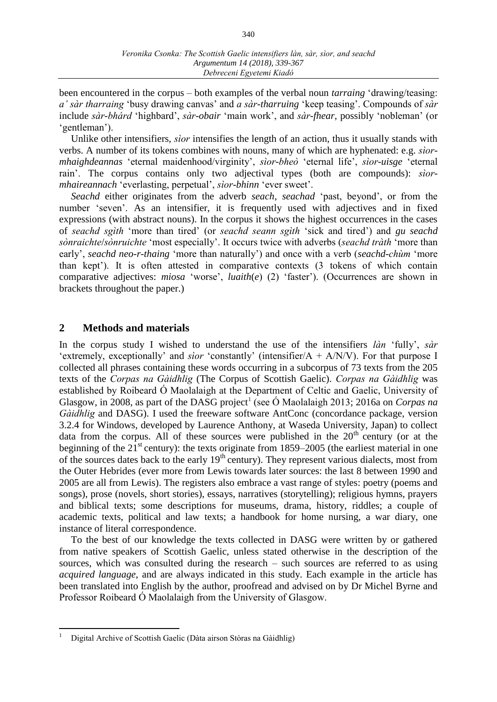been encountered in the corpus – both examples of the verbal noun *tarraing* ʻdrawing/teasing: *a' sàr tharraing* ʻbusy drawing canvas' and *a sàr-tharruing* ʻkeep teasing'. Compounds of *sàr* include *sàr-bhárd* 'highbard', *sàr-obair* 'main work', and *sàr-fhear*, possibly 'nobleman' (or ʻgentleman').

Unlike other intensifiers, *sìor* intensifies the length of an action, thus it usually stands with verbs. A number of its tokens combines with nouns, many of which are hyphenated: e.g. *sìormhaighdeannas* 'eternal maidenhood/virginity', *sìor-bheò* ʻeternal life', *sìor*-*uisge* 'eternal rain'. The corpus contains only two adjectival types (both are compounds): *sìormhaireannach* 'everlasting, perpetual', *sìor-bhinn* 'ever sweet'.

*Seachd* either originates from the adverb *seach*, *seachad* ʻpast, beyond', or from the number ʻseven'. As an intensifier, it is frequently used with adjectives and in fixed expressions (with abstract nouns). In the corpus it shows the highest occurrences in the cases of *seachd sgìth* ʻmore than tired' (or *seachd seann sgìth* ʻsick and tired') and *gu seachd sònraichte*/*sònruichte* ʻmost especially'. It occurs twice with adverbs (*seachd tràth* ʻmore than early', *seachd neo-r-thaing* ʻmore than naturally') and once with a verb (*seachd-chùm* ʻmore than kept'). It is often attested in comparative contexts (3 tokens of which contain comparative adjectives: *miosa* ʻworse', *luaith*(*e*) (2) ʻfaster'). (Occurrences are shown in brackets throughout the paper.)

## **2 Methods and materials**

In the corpus study I wished to understand the use of the intensifiers *làn* 'fully', *sàr*  'extremely, exceptionally' and *sìor* 'constantly' (intensifier/A + A/N/V). For that purpose I collected all phrases containing these words occurring in a subcorpus of 73 texts from the 205 texts of the *Corpas na Gàidhlig* (The Corpus of Scottish Gaelic). *Corpas na Gàidhlig* was established by Roibeard Ó Maolalaigh at the Department of Celtic and Gaelic, University of Glasgow, in 2008, as part of the DASG project<sup>1</sup> (see Ó Maolalaigh 2013; 2016a on *Corpas na Gàidhlig* and DASG). I used the freeware software AntConc (concordance package, version 3.2.4 for Windows, developed by Laurence Anthony, at Waseda University, Japan) to collect data from the corpus. All of these sources were published in the  $20<sup>th</sup>$  century (or at the beginning of the  $21<sup>st</sup>$  century): the texts originate from 1859–2005 (the earliest material in one of the sources dates back to the early  $19<sup>th</sup>$  century). They represent various dialects, most from the Outer Hebrides (ever more from Lewis towards later sources: the last 8 between 1990 and 2005 are all from Lewis). The registers also embrace a vast range of styles: poetry (poems and songs), prose (novels, short stories), essays, narratives (storytelling); religious hymns, prayers and biblical texts; some descriptions for museums, drama, history, riddles; a couple of academic texts, political and law texts; a handbook for home nursing, a war diary, one instance of literal correspondence.

To the best of our knowledge the texts collected in DASG were written by or gathered from native speakers of Scottish Gaelic, unless stated otherwise in the description of the sources, which was consulted during the research – such sources are referred to as using *acquired language*, and are always indicated in this study. Each example in the article has been translated into English by the author, proofread and advised on by Dr Michel Byrne and Professor Roibeard Ó Maolalaigh from the University of Glasgow.

 $\overline{a}$ 

<sup>1</sup> Digital Archive of Scottish Gaelic (Dàta airson Stòras na Gàidhlig)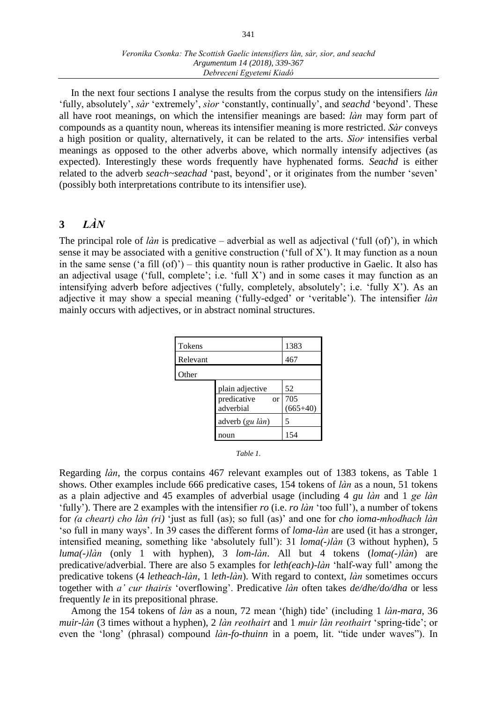### *Veronika Csonka: The Scottish Gaelic intensifiers làn, sàr, sìor, and seachd Argumentum 14 (2018), 339-367 Debreceni Egyetemi Kiadó*

In the next four sections I analyse the results from the corpus study on the intensifiers *làn* ʻfully, absolutely', *sàr* ʻextremely', *sìor* ʻconstantly, continually', and *seachd* ʻbeyond'. These all have root meanings, on which the intensifier meanings are based: *làn* may form part of compounds as a quantity noun, whereas its intensifier meaning is more restricted. *Sàr* conveys a high position or quality, alternatively, it can be related to the arts. *Sìor* intensifies verbal meanings as opposed to the other adverbs above, which normally intensify adjectives (as expected). Interestingly these words frequently have hyphenated forms. *Seachd* is either related to the adverb *seach~seachad* ʻpast, beyond', or it originates from the number ʻseven' (possibly both interpretations contribute to its intensifier use).

## **3** *LÀN*

The principal role of *làn* is predicative – adverbial as well as adjectival (ʻfull (of)'), in which sense it may be associated with a genitive construction (ʻfull of X'). It may function as a noun in the same sense ( $a$  fill  $(of)$ ) – this quantity noun is rather productive in Gaelic. It also has an adjectival usage ('full, complete'; i.e. 'full X') and in some cases it may function as an intensifying adverb before adjectives (ʻfully, completely, absolutely'; i.e. ʻfully X'). As an adjective it may show a special meaning (ʻfully-edged' or ʻveritable'). The intensifier *làn* mainly occurs with adjectives, or in abstract nominal structures.

| <b>Tokens</b> |                                       | 1383              |
|---------------|---------------------------------------|-------------------|
| Relevant      |                                       | 467               |
| Other         |                                       |                   |
|               | plain adjective                       | 52                |
|               | predicative<br><b>or</b><br>adverbial | 705<br>$(665+40)$ |
|               | adverb (gu làn)                       | 5                 |
|               | noun                                  | 154               |

Regarding *làn*, the corpus contains 467 relevant examples out of 1383 tokens, as Table 1 shows. Other examples include 666 predicative cases, 154 tokens of *làn* as a noun, 51 tokens as a plain adjective and 45 examples of adverbial usage (including 4 *gu làn* and 1 *ge làn* 'fully'). There are 2 examples with the intensifier *ro* (i.e. *ro làn* 'too full'), a number of tokens for *(a cheart) cho làn (ri)* 'just as full (as); so full (as)' and one for *cho ioma-mhodhach làn* 'so full in many ways'. In 39 cases the different forms of *loma-làn* are used (it has a stronger, intensified meaning, something like 'absolutely full'): 31 *loma(-)làn* (3 without hyphen), 5 *luma(-)làn* (only 1 with hyphen), 3 *lom-làn*. All but 4 tokens (*loma(-)làn*) are predicative/adverbial. There are also 5 examples for *leth(each)-làn* 'half-way full' among the predicative tokens (4 *letheach-làn*, 1 *leth-làn*). With regard to context, *làn* sometimes occurs together with *a' cur thairis* 'overflowing'. Predicative *làn* often takes *de/dhe/do/dha* or less frequently *le* in its prepositional phrase.

Among the 154 tokens of *làn* as a noun, 72 mean '(high) tide' (including 1 *làn-mara*, 36 *muir-làn* (3 times without a hyphen), 2 *làn reothairt* and 1 *muir làn reothairt* 'spring-tide'; or even the 'long' (phrasal) compound *làn-fo-thuinn* in a poem, lit. "tide under waves"). In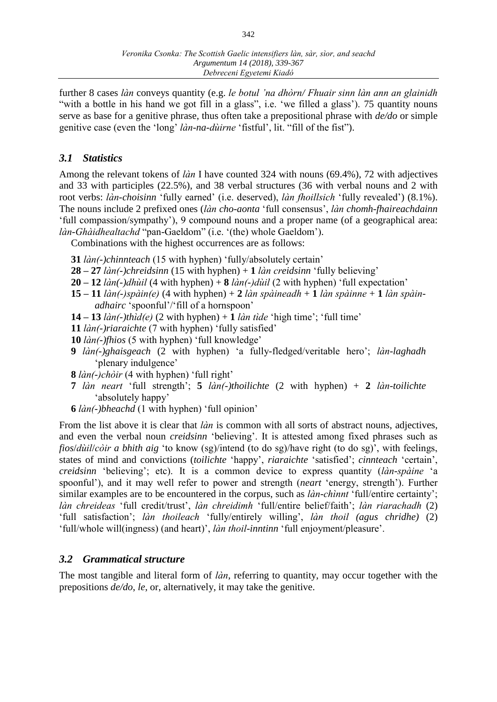further 8 cases *làn* conveys quantity (e.g. *le botul 'na dhòrn/ Fhuair sinn làn ann an glainidh*  "with a bottle in his hand we got fill in a glass", i.e. 'we filled a glass'). 75 quantity nouns serve as base for a genitive phrase, thus often take a prepositional phrase with *de/do* or simple genitive case (even the 'long' *làn-na-dùirne* 'fistful', lit. "fill of the fist").

## *3.1 Statistics*

Among the relevant tokens of *làn* I have counted 324 with nouns (69.4%), 72 with adjectives and 33 with participles (22.5%), and 38 verbal structures (36 with verbal nouns and 2 with root verbs: *làn-choisinn* 'fully earned' (i.e. deserved), *làn fhoillsich* 'fully revealed') (8.1%). The nouns include 2 prefixed ones (*làn cho-aonta* 'full consensus', *làn chomh-fhaireachdainn* 'full compassion/sympathy'), 9 compound nouns and a proper name (of a geographical area: *làn-Ghàidhealtachd* "pan-Gaeldom" (i.e. '(the) whole Gaeldom').

Combinations with the highest occurrences are as follows:

- **31** *làn(-)chinnteach* (15 with hyphen) 'fully/absolutely certain'
- **28 – 27** *làn(-)chreidsinn* (15 with hyphen) + **1** *làn creidsinn* 'fully believing'
- **20 – 12** *làn(-)dhùil* (4 with hyphen) + **8** *làn(-)dùil* (2 with hyphen) 'full expectation'
- **15 – 11** *làn(-)spàin(e)* (4 with hyphen) + **2** *làn spàineadh* + **1** *làn spàinne* + **1** *làn spàinadhairc* 'spoonful'/'fill of a hornspoon'
- **14 – 13** *làn(-)thìd(e)* (2 with hyphen) + **1** *làn tìde* 'high time'; 'full time'
- **11** *làn(-)riaraichte* (7 with hyphen) 'fully satisfied'
- **10** *làn(-)fhios* (5 with hyphen) 'full knowledge'
- **9** *làn(-)ghaisgeach* (2 with hyphen) 'a fully-fledged/veritable hero'; *làn-laghadh* 'plenary indulgence'
- **8** *làn(-)chòir* (4 with hyphen) 'full right'
- **7** *làn neart* 'full strength'; **5** *làn(-)thoilichte* (2 with hyphen) + **2** *làn-toilichte*  'absolutely happy'
- **6** *làn(-)bheachd* (1 with hyphen) 'full opinion'

From the list above it is clear that *làn* is common with all sorts of abstract nouns, adjectives, and even the verbal noun *creidsinn* 'believing'. It is attested among fixed phrases such as *fios*/*dùil*/*còir a bhith aig* 'to know (sg)/intend (to do sg)/have right (to do sg)', with feelings, states of mind and convictions (*toilichte* 'happy', *riaraichte* 'satisfied'; *cinnteach* 'certain', *creidsinn* 'believing'; etc). It is a common device to express quantity (*làn-spàine* 'a spoonful'), and it may well refer to power and strength (*neart* 'energy, strength'). Further similar examples are to be encountered in the corpus, such as *làn-chìnnt* 'full/entire certainty'; *làn chreideas* 'full credit/trust', *làn chreidimh* 'full/entire belief/faith'; *làn riarachadh* (2) 'full satisfaction'; *làn thoileach* 'fully/entirely willing', *làn thoil (agus chridhe)* (2) 'full/whole will(ingness) (and heart)', *làn thoil-inntinn* 'full enjoyment/pleasure'.

## *3.2 Grammatical structure*

The most tangible and literal form of *làn*, referring to quantity, may occur together with the prepositions *de/do*, *le*, or, alternatively, it may take the genitive.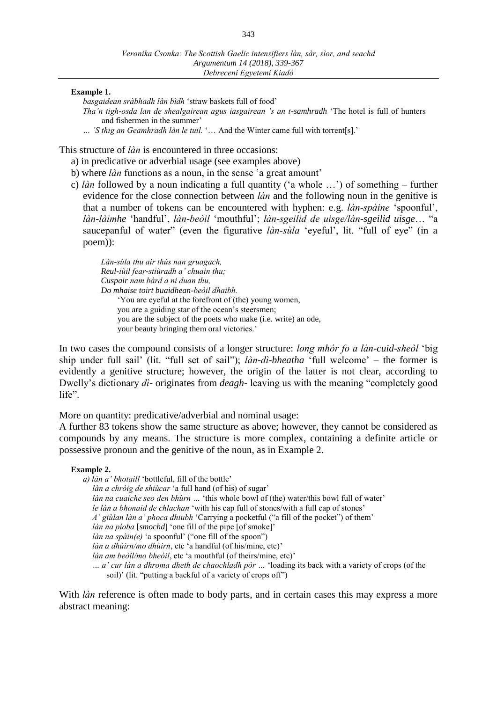#### **Example 1.**

*basgaidean sràbhadh làn bìdh* 'straw baskets full of food'

*Tha'n tigh-osda lan de shealgairean agus iasgairean 's an t-samhradh* 'The hotel is full of hunters and fishermen in the summer'

*… 'S thig an Geamhradh làn le tuil.* '… And the Winter came full with torrent[s].'

This structure of *làn* is encountered in three occasions:

- a) in predicative or adverbial usage (see examples above)
- b) where *làn* functions as a noun, in the sense 'a great amount'
- c) *làn* followed by a noun indicating a full quantity ('a whole …') of something further evidence for the close connection between *làn* and the following noun in the genitive is that a number of tokens can be encountered with hyphen: e.g. *làn-spàine* 'spoonful', *làn-làimhe* 'handful', *làn-beòil* 'mouthful'; *làn-sgeilid de uisge/làn-sgeilid uisge*… "a saucepanful of water" (even the figurative *làn-sùla* 'eyeful', lit. "full of eye" (in a poem)):

*Làn-sùla thu air thùs nan gruagach, Reul-iùil fear-stiùradh a' chuain thu; Cuspair nam bàrd a ni duan thu, Do mhaise toirt buaidhean-beòil dhaibh.* 'You are eyeful at the forefront of (the) young women, you are a guiding star of the ocean's steersmen; you are the subject of the poets who make (i.e. write) an ode, your beauty bringing them oral victories.'

In two cases the compound consists of a longer structure: *long mhór fo a làn-cuid-sheòl* 'big ship under full sail' (lit. "full set of sail"); *làn-dì-bheatha* 'full welcome' – the former is evidently a genitive structure; however, the origin of the latter is not clear, according to Dwelly's dictionary *dì-* originates from *deagh-* leaving us with the meaning "completely good life".

### More on quantity: predicative/adverbial and nominal usage:

A further 83 tokens show the same structure as above; however, they cannot be considered as compounds by any means. The structure is more complex, containing a definite article or possessive pronoun and the genitive of the noun, as in Example 2.

#### **Example 2.**

*a) làn a' bhotaill* 'bottleful, fill of the bottle' *làn a chròig de shiùcar* 'a full hand (of his) of sugar' *làn na cuaiche seo den bhùrn …* 'this whole bowl of (the) water/this bowl full of water' *le làn a bhonaid de chlachan* 'with his cap full of stones/with a full cap of stones' *A' giùlan làn a' phoca dhiubh* 'Carrying a pocketful ("a fill of the pocket") of them' *làn na pìoba* [*smochd*] 'one fill of the pipe [of smoke]' *làn na spàin(e)* 'a spoonful' ("one fill of the spoon") *làn a dhùirn/mo dhùirn*, etc 'a handful (of his/mine, etc)' *làn am beòil/mo bheòil*, etc 'a mouthful (of theirs/mine, etc)' *… a' cur làn a dhroma dheth de chaochladh pòr …* ʻloading its back with a variety of crops (of the soil)' (lit. "putting a backful of a variety of crops off")

With *làn* reference is often made to body parts, and in certain cases this may express a more abstract meaning: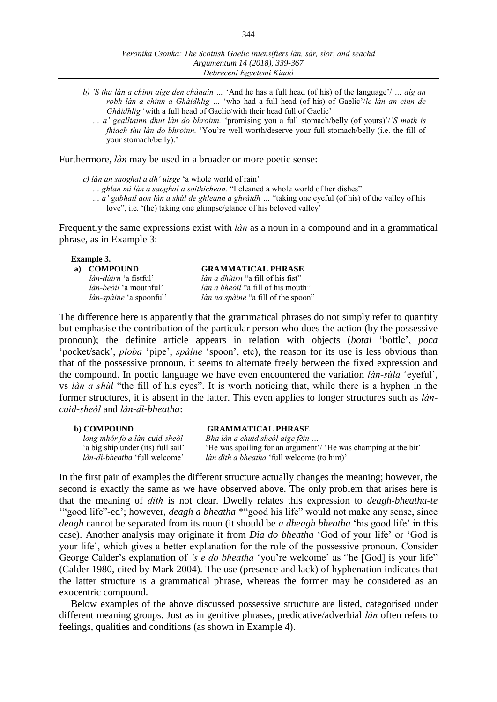- *b) 'S tha làn a chinn aige den chànain …* 'And he has a full head (of his) of the language'/ *… aig an robh làn a chinn a Ghàidhlig …* 'who had a full head (of his) of Gaelic'/*le làn an cinn de Ghàidhlig* 'with a full head of Gaelic/with their head full of Gaelic'
	- *… a' gealltainn dhut làn do bhroinn.* 'promising you a full stomach/belly (of yours)'/*'S math is fhiach thu làn do bhroinn.* 'You're well worth/deserve your full stomach/belly (i.e. the fill of your stomach/belly).'

Furthermore, *làn* may be used in a broader or more poetic sense:

*c) làn an saoghal a dh' uisge* 'a whole world of rain'

- *… ghlan mi làn a saoghal a soithichean.* "I cleaned a whole world of her dishes"
- *… a' gabhail aon làn a shùl de ghleann a ghràidh …* "taking one eyeful (of his) of the valley of his love", i.e. '(he) taking one glimpse/glance of his beloved valley'

Frequently the same expressions exist with *làn* as a noun in a compound and in a grammatical phrase, as in Example 3:

#### **Example 3.**

| a) COMPOUND                    | <b>GRAMMATICAL PHRASE</b>                  |
|--------------------------------|--------------------------------------------|
| <i>làn-dùirn</i> 'a fistful'   | <i>làn a dhùirn</i> "a fill of his fist"   |
| <i>làn-beòil</i> 'a mouthful'  | <i>làn a bheòil</i> "a fill of his mouth"  |
| <i>làn-spàine</i> 'a spoonful' | <i>làn na spàine</i> "a fill of the spoon" |

The difference here is apparently that the grammatical phrases do not simply refer to quantity but emphasise the contribution of the particular person who does the action (by the possessive pronoun); the definite article appears in relation with objects (*botal* 'bottle', *poca*  'pocket/sack', *pìoba* 'pipe', *spàine* 'spoon', etc), the reason for its use is less obvious than that of the possessive pronoun, it seems to alternate freely between the fixed expression and the compound. In poetic language we have even encountered the variation *làn-sùla* 'eyeful', vs *làn a shùl* "the fill of his eyes". It is worth noticing that, while there is a hyphen in the former structures, it is absent in the latter. This even applies to longer structures such as *làncuid-sheòl* and *làn-dì-bheatha*:

#### **b) COMPOUND GRAMMATICAL PHRASE**

*long mhór fo a làn-cuid-sheòl Bha làn a chuid sheòl aige fèin …* 'He was spoiling for an argument'/ 'He was champing at the bit' *làn-dì-bheatha* 'full welcome' *làn dìth a bheatha* 'full welcome (to him)'

In the first pair of examples the different structure actually changes the meaning; however, the second is exactly the same as we have observed above. The only problem that arises here is that the meaning of *dìth* is not clear. Dwelly relates this expression to *deagh-bheatha-te*  '"good life"-ed'; however, *deagh a bheatha* \*"good his life" would not make any sense, since *deagh* cannot be separated from its noun (it should be *a dheagh bheatha* 'his good life' in this case). Another analysis may originate it from *Dia do bheatha* 'God of your life' or ʻGod is your life', which gives a better explanation for the role of the possessive pronoun. Consider George Calder's explanation of *'s e do bheatha* 'you're welcome' as "he [God] is your life" (Calder 1980, cited by Mark 2004). The use (presence and lack) of hyphenation indicates that the latter structure is a grammatical phrase, whereas the former may be considered as an exocentric compound.

Below examples of the above discussed possessive structure are listed, categorised under different meaning groups. Just as in genitive phrases, predicative/adverbial *làn* often refers to feelings, qualities and conditions (as shown in Example 4).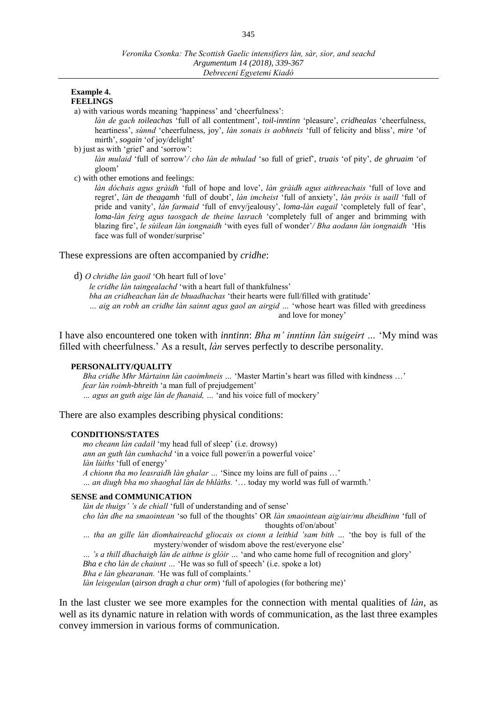#### **Example 4. FEELINGS**

a) with various words meaning 'happiness' and 'cheerfulness':

*làn de gach toileachas* 'full of all contentment', *toil-inntinn* 'pleasure', *cridhealas* 'cheerfulness, heartiness', *sùnnd* 'cheerfulness, joy', *làn sonais is aobhneis* 'full of felicity and bliss', *mire* 'of mirth', *sogain* 'of joy/delight'

b) just as with 'grief' and 'sorrow':

*làn mulaid* 'full of sorrow'*/ cho làn de mhulad* 'so full of grief', *truais* 'of pity', *de ghruaim* 'of gloom'

c) with other emotions and feelings:

*làn dòchais agus gràidh* 'full of hope and love', *làn gràidh agus aithreachais* 'full of love and regret', *làn de theagamh* 'full of doubt', *làn imcheist* 'full of anxiety', *làn pròis is uaill* 'full of pride and vanity', *làn farmaid* 'full of envy/jealousy', *loma-làn eagail* 'completely full of fear', *loma-làn feirg agus taosgach de theine lasrach* 'completely full of anger and brimming with blazing fire', *le sùilean làn iongnaidh* 'with eyes full of wonder'*/ Bha aodann làn iongnaidh* 'His face was full of wonder/surprise'

#### These expressions are often accompanied by *cridhe*:

d) *O chridhe làn gaoil* 'Oh heart full of love'

*le cridhe làn taingealachd* 'with a heart full of thankfulness'

*bha an cridheachan làn de bhuadhachas* 'their hearts were full/filled with gratitude'

*… aig an robh an cridhe làn sainnt agus gaol an airgid …* 'whose heart was filled with greediness and love for money'

I have also encountered one token with *inntinn*: *Bha m' inntinn làn suigeirt …* 'My mind was filled with cheerfulness.' As a result, *làn* serves perfectly to describe personality.

#### **PERSONALITY/QUALITY**

*Bha cridhe Mhr Màrtainn làn caoimhneis …* 'Master Martin's heart was filled with kindness …' *fear làn roimh-bhreith* 'a man full of prejudgement' *… agus an guth aige làn de fhanaid, …* 'and his voice full of mockery'

There are also examples describing physical conditions:

#### **CONDITIONS/STATES**

*mo cheann làn cadail* 'my head full of sleep' (i.e. drowsy) *ann an guth làn cumhachd* 'in a voice full power/in a powerful voice' *làn lùiths* 'full of energy' *A chionn tha mo leasraidh làn ghalar …* 'Since my loins are full of pains …' *… an diugh bha mo shaoghal làn de bhlàths.* '… today my world was full of warmth.'

#### **SENSE and COMMUNICATION**

*làn de thuigs' 's de chiall* 'full of understanding and of sense'

*cho làn dhe na smaointean* 'so full of the thoughts' OR *làn smaointean aig/air/mu dheidhinn* 'full of thoughts of/on/about'

*… tha an gille làn dìomhaireachd gliocais os cionn a leithid 'sam bith …* 'the boy is full of the mystery/wonder of wisdom above the rest/everyone else'

*… 's a thill dhachaigh làn de aithne is glòir …* 'and who came home full of recognition and glory'

*Bha e cho làn de chainnt …* 'He was so full of speech' (i.e. spoke a lot)

*Bha e làn ghearanan.* 'He was full of complaints.'

*làn leisgeulan* (*airson dragh a chur orm*) 'full of apologies (for bothering me)'

In the last cluster we see more examples for the connection with mental qualities of *làn*, as well as its dynamic nature in relation with words of communication, as the last three examples convey immersion in various forms of communication.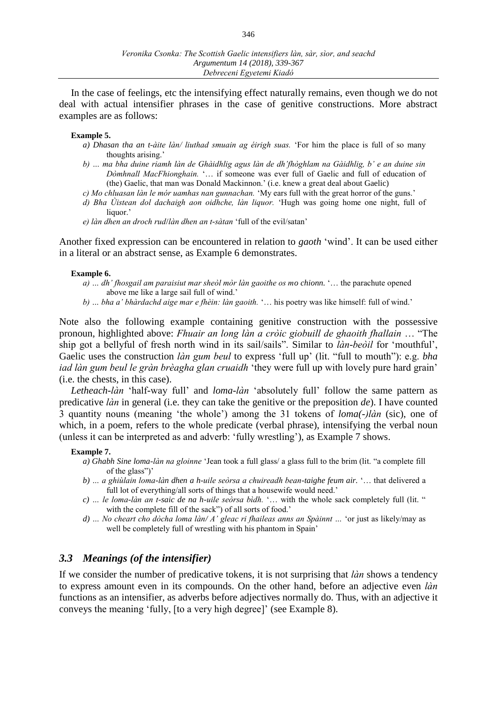In the case of feelings, etc the intensifying effect naturally remains, even though we do not deal with actual intensifier phrases in the case of genitive constructions. More abstract examples are as follows:

#### **Example 5.**

- *a) Dhasan tha an t-àite làn/ liuthad smuain ag éirigh suas.* 'For him the place is full of so many thoughts arising.'
- *b) … ma bha duine riamh làn de Ghàidhlig agus làn de dh'fhòghlam na Gàidhlig, b' e an duine sin Dòmhnall MacFhionghain.* '… if someone was ever full of Gaelic and full of education of (the) Gaelic, that man was Donald Mackinnon.' (i.e. knew a great deal about Gaelic)
- *c) Mo chluasan làn le mór uamhas nan gunnachan.* 'My ears full with the great horror of the guns.'
- *d) Bha Ùistean dol dachaigh aon oidhche, làn liquor.* 'Hugh was going home one night, full of liquor.'
- *e) làn dhen an droch rud*/*làn dhen an t-sàtan* 'full of the evil/satan'

Another fixed expression can be encountered in relation to *gaoth* 'wind'. It can be used either in a literal or an abstract sense, as Example 6 demonstrates.

#### **Example 6.**

- *a) … dh' fhosgail am paraisiut mar sheòl mòr làn gaoithe os mo chionn.* '… the parachute opened above me like a large sail full of wind.'
- *b) … bha a' bhàrdachd aige mar e fhèin: làn gaoith.* '… his poetry was like himself: full of wind.'

Note also the following example containing genitive construction with the possessive pronoun, highlighted above: *Fhuair an long làn a cròic giobuill de ghaoith fhallain* … "The ship got a bellyful of fresh north wind in its sail/sails". Similar to *làn-beòil* for 'mouthful', Gaelic uses the construction *làn gum beul* to express 'full up' (lit. "full to mouth"): e.g. *bha iad làn gum beul le gràn brèagha glan cruaidh* 'they were full up with lovely pure hard grain' (i.e. the chests, in this case).

*Letheach-làn* 'half-way full' and *loma-làn* 'absolutely full' follow the same pattern as predicative *làn* in general (i.e. they can take the genitive or the preposition *de*). I have counted 3 quantity nouns (meaning 'the whole') among the 31 tokens of *loma(-)làn* (sic), one of which, in a poem, refers to the whole predicate (verbal phrase), intensifying the verbal noun (unless it can be interpreted as and adverb: ʻfully wrestling'), as Example 7 shows.

#### **Example 7.**

- *a) Ghabh Sine loma-làn na gloinne* 'Jean took a full glass/ a glass full to the brim (lit. "a complete fill of the glass")'
- *b) … a ghiùlain loma-làn dhen a h-uile seòrsa a chuireadh bean-taighe feum air.* '… that delivered a full lot of everything/all sorts of things that a housewife would need.'
- *c) … le loma-làn an t-saic de na h-uile seòrsa bìdh.* '… with the whole sack completely full (lit. " with the complete fill of the sack") of all sorts of food.'
- *d) … No cheart cho dòcha loma làn/ A' gleac ri fhaileas anns an Spàinnt …* 'or just as likely/may as well be completely full of wrestling with his phantom in Spain'

## *3.3 Meanings (of the intensifier)*

If we consider the number of predicative tokens, it is not surprising that *làn* shows a tendency to express amount even in its compounds. On the other hand, before an adjective even *làn*  functions as an intensifier, as adverbs before adjectives normally do. Thus, with an adjective it conveys the meaning 'fully, [to a very high degree]' (see Example 8).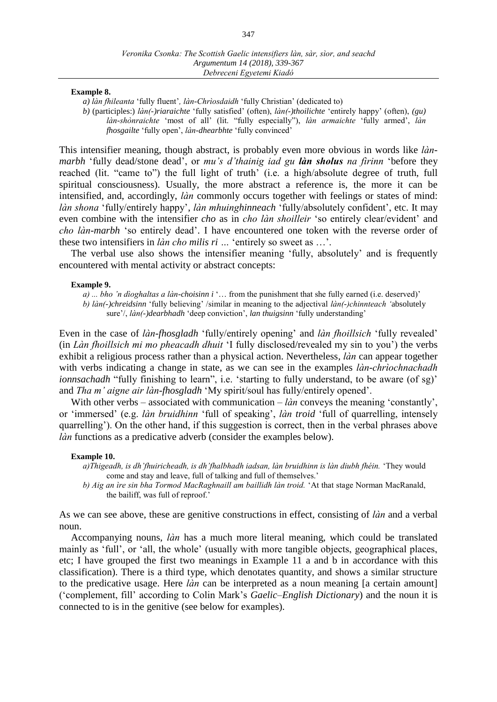#### **Example 8.**

*a) làn fhileanta* 'fully fluent'*, làn-Chrìosdaidh* 'fully Christian' (dedicated to)

*b)* (participles:) *làn(-)riaraichte* 'fully satisfied' (often), *làn(-)thoilichte* 'entirely happy' (often), *(gu) làn-shònraichte* 'most of all' (lit. "fully especially"), *làn armaichte* 'fully armed', *làn fhosgailte* 'fully open', *làn-dhearbhte* 'fully convinced'

This intensifier meaning, though abstract, is probably even more obvious in words like *lànmarbh* 'fully dead/stone dead', or *mu's d'thainig iad gu làn sholus na fìrinn* 'before they reached (lit. "came to") the full light of truth' (i.e. a high/absolute degree of truth, full spiritual consciousness). Usually, the more abstract a reference is, the more it can be intensified, and, accordingly, *làn* commonly occurs together with feelings or states of mind: *làn shona* 'fully/entirely happy', *làn mhuinghinneach* 'fully/absolutely confident', etc. It may even combine with the intensifier *cho* as in *cho làn shoilleir* 'so entirely clear/evident' and *cho làn-marbh* 'so entirely dead'. I have encountered one token with the reverse order of these two intensifiers in *làn cho milis ri …* 'entirely so sweet as …'.

The verbal use also shows the intensifier meaning 'fully, absolutely' and is frequently encountered with mental activity or abstract concepts:

#### **Example 9.**

*a) ... bho 'n dìoghaltas a làn-choisinn i* '… from the punishment that she fully earned (i.e. deserved)' *b) làn(-)chreidsinn* 'fully believing' /similar in meaning to the adjectival *làn(-)chinnteach '*absolutely sure'/, *làn(-)dearbhadh* 'deep conviction', *lan thuigsinn* 'fully understanding'

Even in the case of *làn-fhosgladh* 'fully/entirely opening' and *làn fhoillsich* 'fully revealed' (in *Làn fhoillsich mi mo pheacadh dhuit* 'I fully disclosed/revealed my sin to you') the verbs exhibit a religious process rather than a physical action. Nevertheless, *làn* can appear together with verbs indicating a change in state, as we can see in the examples *làn-chrìochnachadh ionnsachadh* "fully finishing to learn", i.e. 'starting to fully understand, to be aware (of sg)' and *Tha m' aigne air làn-fhosgladh* 'My spirit/soul has fully/entirely opened'.

With other verbs – associated with communication – *làn* conveys the meaning 'constantly', or 'immersed' (e.g. *làn bruidhinn* 'full of speaking', *làn troid* 'full of quarrelling, intensely quarrelling'). On the other hand, if this suggestion is correct, then in the verbal phrases above *làn* functions as a predicative adverb (consider the examples below).

#### **Example 10.**

*a)Thigeadh, is dh'fhuiricheadh, is dh'fhalbhadh iadsan, làn bruidhinn is làn diubh fhéin.* ʻThey would come and stay and leave, full of talking and full of themselves.'

*b) Aig an ìre sin bha Tormod MacRaghnaill am baillidh làn troid.* ʻAt that stage Norman MacRanald, the bailiff, was full of reproof.'

As we can see above, these are genitive constructions in effect, consisting of *làn* and a verbal noun.

Accompanying nouns, *làn* has a much more literal meaning, which could be translated mainly as 'full', or 'all, the whole' (usually with more tangible objects, geographical places, etc; I have grouped the first two meanings in Example 11 a and b in accordance with this classification). There is a third type, which denotates quantity, and shows a similar structure to the predicative usage. Here *làn* can be interpreted as a noun meaning [a certain amount] ('complement, fill' according to Colin Mark's *Gaelic–English Dictionary*) and the noun it is connected to is in the genitive (see below for examples).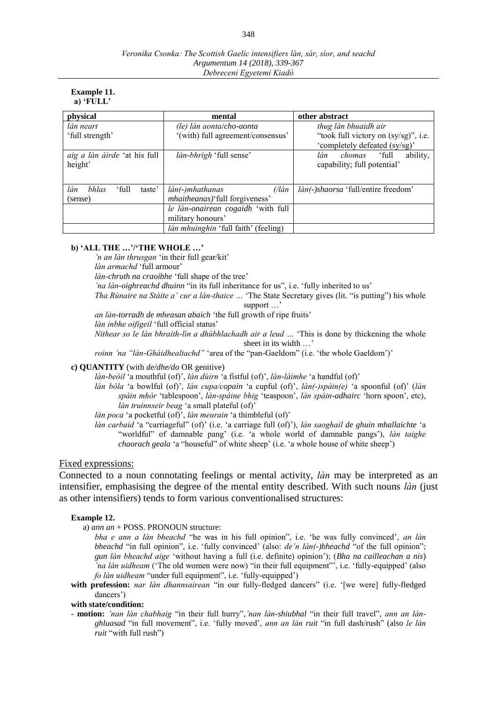| <b>Example 11.</b> |  |
|--------------------|--|
| a) $'FULL'$        |  |

| physical                               | mental                                 | other abstract                                 |  |
|----------------------------------------|----------------------------------------|------------------------------------------------|--|
| làn neart                              | (le) làn aonta/cho-aonta               | thug làn bhuaidh air                           |  |
| 'full strength'                        | '(with) full agreement/consensus'      | "took full victory on (sy/sg)", i.e.           |  |
|                                        |                                        | 'completely defeated (sy/sg)'                  |  |
| aig a làn àirde 'at his full           | <i>làn-bhrìgh</i> 'full sense'         | full <sup>*</sup><br>ability,<br>làn<br>chomas |  |
| height'                                |                                        | capability; full potential'                    |  |
|                                        |                                        |                                                |  |
| làn<br><i>bhlas</i><br>'full<br>taste' | $($ /làn<br>làn(-)mhathanas            | làn(-)shaorsa 'full/entire freedom'            |  |
| (sense)                                | <i>mhaitheanas</i> ) full forgiveness' |                                                |  |
|                                        | le làn-onairean cogaidh 'with full     |                                                |  |
|                                        | military honours'                      |                                                |  |
|                                        | làn mhuinghin 'full faith' (feeling)   |                                                |  |

#### **b) 'ALL THE …'/'THE WHOLE …'**

*'n an làn thrusgan* 'in their full gear/kit'

*làn armachd* 'full armour'

*làn-chruth na craoibhe* 'full shape of the tree'

*'na làn-oighreachd dhuinn* "in its full inheritance for us", i.e. 'fully inherited to us'

*Tha Rùnaire na Stàite a' cur a làn-thaice …* 'The State Secretary gives (lit. "is putting") his whole support …'

*an làn-torradh de mheasan abaich* 'the full growth of ripe fruits'

*làn inbhe oifigeil* 'full official status'

*Nithear so le làn bhraith-lìn a dhùbhlachadh air a leud …* 'This is done by thickening the whole sheet in its width …'

*roinn 'na "làn-Ghàidhealtachd"* 'area of the "pan-Gaeldom" (i.e. 'the whole Gaeldom')'

#### **c) QUANTITY** (with *de/dhe/do* OR genitive)

*làn-beòil* 'a mouthful (of)', *làn dùirn* 'a fistful (of)', *làn-làimhe* 'a handful (of)'

*làn bòla* 'a bowlful (of)', *làn cupa/copain* 'a cupful (of)', *làn(-)spàin(e)* 'a spoonful (of)' (*làn spàin mhòr* 'tablespoon', *làn-spáine bhig* 'teaspoon', *làn spáin-adhairc* 'horn spoon', etc), *làn truinnseir beag* 'a small plateful (of)'

*làn poca* 'a pocketful (of)', *làn meurain* 'a thimbleful (of)'

*làn carbaid* 'a "carriageful" (of)' (i.e. 'a carriage full (of)'), *làn saoghail de ghuin mhallaichte* 'a "worldful" of damnable pang' (i.e. 'a whole world of damnable pangs'), *làn taighe chaorach geala* 'a "houseful" of white sheep' (i.e. 'a whole house of white sheep')

#### Fixed expressions:

Connected to a noun connotating feelings or mental activity, *làn* may be interpreted as an intensifier, emphasising the degree of the mental entity described. With such nouns *làn* (just as other intensifiers) tends to form various conventionalised structures:

#### **Example 12.**

a) *ann an* + POSS. PRONOUN structure:

*bha e ann a làn bheachd* "he was in his full opinion", i.e. 'he was fully convinced', *an làn bheachd* "in full opinion", i.e. 'fully convinced' (also: *de'n làn(-)bheachd* "of the full opinion"; *gun làn bheachd aige* 'without having a full (i.e. definite) opinion'); (*Bha na cailleachan a nis*) *'na làn uidheam* ('The old women were now) "in their full equipment"', i.e. 'fully-equipped' (also *fo làn uidheam* "under full equipment", i.e. 'fully-equipped')

**with profession:** *nar làn dhannsairean* "in our fully-fledged dancers" (i.e. ʻ[we were] fully-fledged dancers')

#### **with state/condition:**

**- motion:** *'nan làn chabhaig* "in their full hurry",*'nan làn-shiubhal* "in their full travel", *ann an lànghluasad* "in full movement", i.e. 'fully moved', *ann an làn ruit* "in full dash/rush" (also *le làn ruit* "with full rush")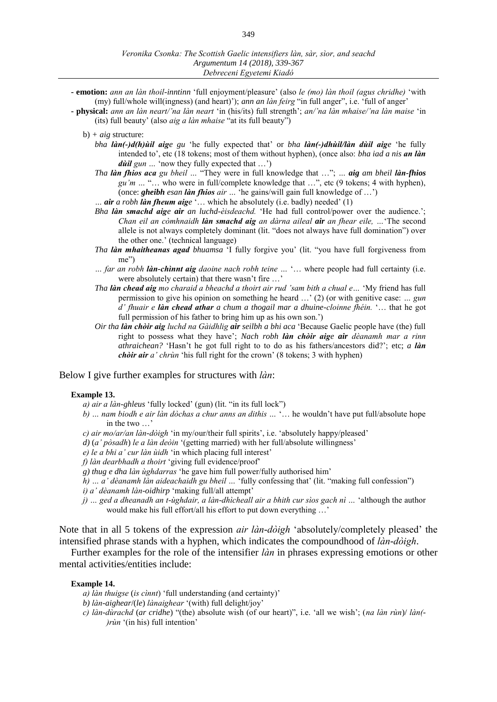- **- emotion:** *ann an làn thoil-inntinn* 'full enjoyment/pleasure' (also *le (mo) làn thoil (agus chridhe)* 'with (my) full/whole will(ingness) (and heart)'); *ann an làn feirg* "in full anger", i.e. 'full of anger'
- **- physical:** *ann an làn neart/'na làn neart* 'in (his/its) full strength'; *an/'na làn mhaise/'na làn maise* 'in (its) full beauty' (also *aig a làn mhaise* "at its full beauty")
	- b) *+ aig* structure:
		- *bha làn(-)d(h)ùil aige gu* 'he fully expected that' or *bha làn(-)dhùil/làn dùil aige* 'he fully intended to', etc (18 tokens; most of them without hyphen), (once also: *bha iad a nis an làn dùil* gun ... 'now they fully expected that ...')
		- *Tha làn fhios aca gu bheil …* "They were in full knowledge that …"; *… aig am bheil làn-fhios gu'm …* "… who were in full/complete knowledge that …", etc (9 tokens; 4 with hyphen), (once: *gheibh esan làn fhios air …* 'he gains/will gain full knowledge of …')
		- *… air a robh làn fheum aige* '… which he absolutely (i.e. badly) needed' (1)
		- *Bha làn smachd aige air an luchd-èisdeachd.* 'He had full control/power over the audience.'; *Chan eil an còmhnaidh làn smachd aig an dàrna aileal air an fhear eile, …*'The second allele is not always completely dominant (lit. "does not always have full domination") over the other one.' (technical language)
		- *Tha làn mhaitheanas agad bhuamsa* 'I fully forgive you' (lit. "you have full forgiveness from me")
		- *… far an robh làn-chìnnt aig daoine nach robh teine …* '… where people had full certainty (i.e. were absolutely certain) that there wasn't fire …'
		- *Tha làn chead aig mo charaid a bheachd a thoirt air rud 'sam bith a chual e…* 'My friend has full permission to give his opinion on something he heard …' (2) (or with genitive case: *… gun d' fhuair e làn chead athar a chum a thogail mar a dhuine-cloinne fhéin.* '… that he got full permission of his father to bring him up as his own son.')
		- *Oir tha làn chòir aig luchd na Gàidhlig air seilbh a bhi aca* 'Because Gaelic people have (the) full right to possess what they have'; *Nach robh làn chòir aige air dèanamh mar a rinn athraichean?* 'Hasn't he got full right to to do as his fathers/ancestors did?'; etc; *a làn chòir air a' chrùn* 'his full right for the crown' (8 tokens; 3 with hyphen)

#### Below I give further examples for structures with *làn*:

#### **Example 13.**

- *a) air a làn-ghleus* 'fully locked' (gun) (lit. "in its full lock")
- *b) … nam biodh e air làn dòchas a chur anns an dithis …* '… he wouldn't have put full/absolute hope in the two  $\cdot$
- *c) air mo/ar/an làn-dòigh* 'in my/our/their full spirits', i.e. 'absolutely happy/pleased'
- *d)* (*a' pòsadh*) *le a làn deòin* '(getting married) with her full/absolute willingness'
- *e) le a bhi a' cur làn ùidh* 'in which placing full interest'
- *f) làn dearbhadh a thoirt* 'giving full evidence/proof'
- *g) thug e dha làn ùghdarras* 'he gave him full power/fully authorised him'
- *h) … a' dèanamh làn aideachaidh gu bheil …* 'fully confessing that' (lit. "making full confession")
- *i) a' dèanamh làn-oidhirp* 'making full/all attempt'
- *j) … ged a dheanadh an t-ùghdair, a làn-dhìcheall air a bhith cur sìos gach nì …* 'although the author would make his full effort/all his effort to put down everything …'

Note that in all 5 tokens of the expression *air làn-dòigh* 'absolutely/completely pleased' the intensified phrase stands with a hyphen, which indicates the compoundhood of *làn-dòigh*.

Further examples for the role of the intensifier *làn* in phrases expressing emotions or other mental activities/entities include:

#### **Example 14.**

- *a) làn thuigse* (*is cìnnt*) 'full understanding (and certainty)'
- *b) làn-aighear*/(*le*) *lànaighear* '(with) full delight/joy'
- *c) làn-dùrachd* (*ar cridhe*) "(the) absolute wish (of our heart)", i.e. 'all we wish'; (*na làn rùn*)/ *làn(- )rùn* '(in his) full intention'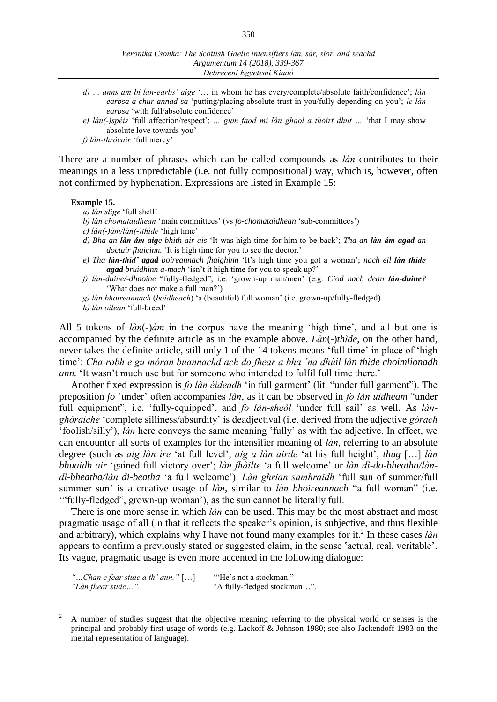- *d) … anns am bi làn-earbs' aige* '… in whom he has every/complete/absolute faith/confidence'; *làn earbsa a chur annad-sa* 'putting/placing absolute trust in you/fully depending on you'; *le làn earbsa* 'with full/absolute confidence'
- *e) làn(-)spèis* 'full affection/respect'; *… gum faod mi làn ghaol a thoirt dhut …* 'that I may show absolute love towards you'
- *f) làn-thròcair* 'full mercy'

There are a number of phrases which can be called compounds as *làn* contributes to their meanings in a less unpredictable (i.e. not fully compositional) way, which is, however, often not confirmed by hyphenation. Expressions are listed in Example 15:

#### **Example 15.**

- *a) làn slige* 'full shell'
- *b) làn chomataidhean* 'main committees' (vs *fo-chomataidhean* 'sub-committees')
- *c) làn(-)àm/làn(-)thìde* 'high time'
- *d) Bha an làn ám aige bhith air ais* 'It was high time for him to be back'; *Tha an làn-ám agad an doctair fhaicinn.* 'It is high time for you to see the doctor.'
- *e) Tha làn-thìd' agad boireannach fhaighinn* 'It's high time you got a woman'; *nach eil làn thìde agad bruidhinn a-mach* 'isn't it high time for you to speak up?'
- *f) làn-duine/-dhaoine* "fully-fledged", i.e. 'grown-up man/men' (e.g. *Ciod nach dean làn-duine?*  'What does not make a full man?')
- *g) làn bhoireannach* (*bòidheach*) 'a (beautiful) full woman' (i.e. grown-up/fully-fledged)
- *h) làn oilean* 'full-breed'

All 5 tokens of *làn*(*-*)*àm* in the corpus have the meaning 'high time', and all but one is accompanied by the definite article as in the example above. *Làn*(*-*)*thìde*, on the other hand, never takes the definite article, still only 1 of the 14 tokens means 'full time' in place of 'high time': *Cha robh e gu móran buannachd ach do fhear a bha 'na dhùil làn thìde choimlionadh ann.* 'It wasn't much use but for someone who intended to fulfil full time there.'

Another fixed expression is *fo làn èideadh* 'in full garment' (lit. "under full garment"). The preposition *fo* 'under' often accompanies *làn*, as it can be observed in *fo làn uidheam* "under full equipment", i.e. 'fully-equipped', and *fo làn-sheòl* 'under full sail' as well. As *lànghòraiche* 'complete silliness/absurdity' is deadjectival (i.e. derived from the adjective *gòrach* 'foolish/silly'), *làn* here conveys the same meaning 'fully' as with the adjective. In effect, we can encounter all sorts of examples for the intensifier meaning of *làn*, referring to an absolute degree (such as *aig làn ìre* 'at full level', *aig a làn airde* 'at his full height'; *thug* […] *làn bhuaidh air* 'gained full victory over'; *làn fhàilte* 'a full welcome' or *làn dì-do-bheatha/làndì-bheatha/làn di-beatha* 'a full welcome'). *Làn ghrian samhraidh* 'full sun of summer/full summer sun' is a creative usage of *làn*, similar to *làn bhoireannach* "a full woman" (i.e. '"fully-fledged", grown-up woman'), as the sun cannot be literally full.

There is one more sense in which *làn* can be used. This may be the most abstract and most pragmatic usage of all (in that it reflects the speaker's opinion, is subjective, and thus flexible and arbitrary), which explains why I have not found many examples for it.<sup>2</sup> In these cases *làn* appears to confirm a previously stated or suggested claim, in the sense 'actual, real, veritable'. Its vague, pragmatic usage is even more accented in the following dialogue:

*"…Chan e fear stuic a th' ann."* […] '"He's not a stockman." *"Làn fhear stuic…".* "A fully-fledged stockman…".

 $\overline{a}$ 

<sup>2</sup> A number of studies suggest that the objective meaning referring to the physical world or senses is the principal and probably first usage of words (e.g. Lackoff & Johnson 1980; see also Jackendoff 1983 on the mental representation of language).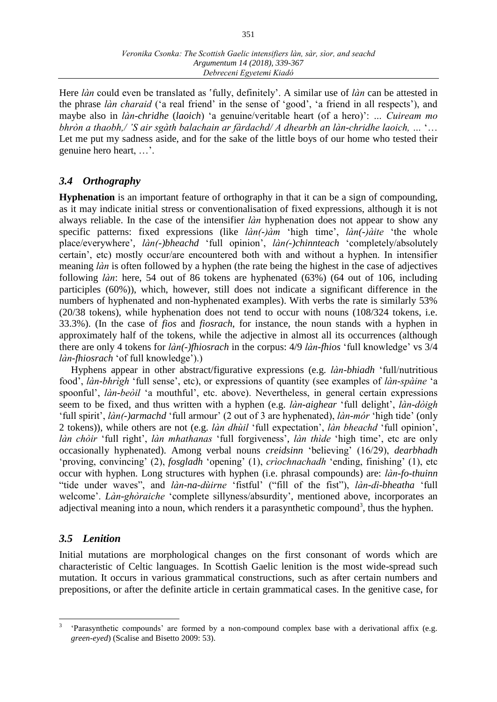Here *làn* could even be translated as 'fully, definitely'. A similar use of *làn* can be attested in the phrase *làn charaid* ('a real friend' in the sense of 'good', 'a friend in all respects'), and maybe also in *làn-chridhe* (*laoich*) 'a genuine/veritable heart (of a hero)': *… Cuiream mo bhròn a thaobh,/ 'S air sgàth balachain ar fàrdachd/ A dhearbh an làn-chridhe laoich, …* '… Let me put my sadness aside, and for the sake of the little boys of our home who tested their genuine hero heart, …'.

## *3.4 Orthography*

**Hyphenation** is an important feature of orthography in that it can be a sign of compounding, as it may indicate initial stress or conventionalisation of fixed expressions, although it is not always reliable. In the case of the intensifier *làn* hyphenation does not appear to show any specific patterns: fixed expressions (like *làn(-)àm* 'high time', *làn(-)àite* 'the whole place/everywhere', *làn(-)bheachd* 'full opinion', *làn(-)chinnteach* 'completely/absolutely certain', etc) mostly occur/are encountered both with and without a hyphen. In intensifier meaning *làn* is often followed by a hyphen (the rate being the highest in the case of adjectives following *làn*: here, 54 out of 86 tokens are hyphenated (63%) (64 out of 106, including participles (60%)), which, however, still does not indicate a significant difference in the numbers of hyphenated and non-hyphenated examples). With verbs the rate is similarly 53% (20/38 tokens), while hyphenation does not tend to occur with nouns (108/324 tokens, i.e. 33.3%). (In the case of *fios* and *fiosrach*, for instance, the noun stands with a hyphen in approximately half of the tokens, while the adjective in almost all its occurrences (although there are only 4 tokens for *làn(-)fhiosrach* in the corpus: 4/9 *làn-fhios* 'full knowledge' vs 3/4 *làn-fhiosrach* 'of full knowledge').)

Hyphens appear in other abstract/figurative expressions (e.g. *làn-bhiadh* 'full/nutritious food', *làn-bhrìgh* 'full sense', etc), or expressions of quantity (see examples of *làn-spàine* 'a spoonful', *làn-beòil* 'a mouthful', etc. above). Nevertheless, in general certain expressions seem to be fixed, and thus written with a hyphen (e.g. *làn-aighear* 'full delight', *làn-dòigh* 'full spirit', *làn(-)armachd* 'full armour' (2 out of 3 are hyphenated), *làn-mór* 'high tide' (only 2 tokens)), while others are not (e.g. *làn dhùil* 'full expectation', *làn bheachd* 'full opinion', *làn chòir* 'full right', *làn mhathanas* 'full forgiveness', *làn thìde* 'high time', etc are only occasionally hyphenated). Among verbal nouns *creidsinn* 'believing' (16/29), *dearbhadh* 'proving, convincing' (2), *fosgladh* 'opening' (1), *crìochnachadh* 'ending, finishing' (1), etc occur with hyphen. Long structures with hyphen (i.e. phrasal compounds) are: *làn-fo-thuinn* "tide under waves", and *làn-na-dùirne* 'fistful' ("fill of the fist"), *làn-dì-bheatha* 'full welcome'. *Làn-ghòraiche* 'complete sillyness/absurdity', mentioned above, incorporates an adjectival meaning into a noun, which renders it a parasynthetic compound<sup>3</sup>, thus the hyphen.

## *3.5 Lenition*

Initial mutations are morphological changes on the first consonant of words which are characteristic of Celtic languages. In Scottish Gaelic lenition is the most wide-spread such mutation. It occurs in various grammatical constructions, such as after certain numbers and prepositions, or after the definite article in certain grammatical cases. In the genitive case, for

 $\overline{a}$ 3 'Parasynthetic compounds' are formed by a non-compound complex base with a derivational affix (e.g. *green-eyed*) (Scalise and Bisetto 2009: 53).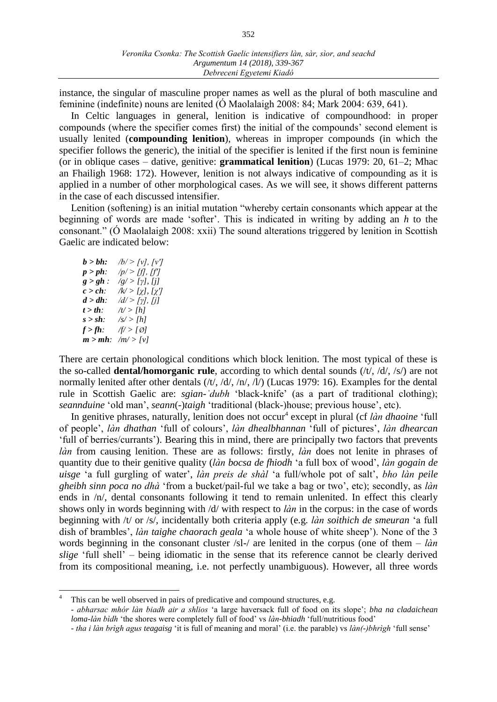instance, the singular of masculine proper names as well as the plural of both masculine and feminine (indefinite) nouns are lenited (Ó Maolalaigh 2008: 84; Mark 2004: 639, 641).

In Celtic languages in general, lenition is indicative of compoundhood: in proper compounds (where the specifier comes first) the initial of the compounds' second element is usually lenited (**compounding lenition**), whereas in improper compounds (in which the specifier follows the generic), the initial of the specifier is lenited if the first noun is feminine (or in oblique cases – dative, genitive: **grammatical lenition**) (Lucas 1979: 20, 61–2; Mhac an Fhailigh 1968: 172). However, lenition is not always indicative of compounding as it is applied in a number of other morphological cases. As we will see, it shows different patterns in the case of each discussed intensifier.

Lenition (softening) is an initial mutation "whereby certain consonants which appear at the beginning of words are made ʻsofter'. This is indicated in writing by adding an *h* to the consonant." (Ó Maolalaigh 2008: xxii) The sound alterations triggered by lenition in Scottish Gaelic are indicated below:

| $b > bh$ :  | /b/ > [v], [v']                      |
|-------------|--------------------------------------|
| $p > ph$ :  | /p/ > [f], [f']                      |
| $g > gh$ :  | $\sqrt{g}$ > [ $\gamma$ ], [j]       |
| $c > c h$ : | /k/ > [χ], [χ']                      |
| $d > dh$ :  | $\langle d \rangle > [\gamma], [jj]$ |
| $t > th$ :  | /t/ > [h]                            |
| $s > sh$ :  | $\sqrt{s}$ > [h]                     |
| $f > fh$ :  | /f/ > [Ø]                            |
| $m > mh$ :  | $/m$ /> [v]                          |

 $\overline{a}$ 

There are certain phonological conditions which block lenition. The most typical of these is the so-called **dental/homorganic rule**, according to which dental sounds (/t/, /d/, /s/) are not normally lenited after other dentals  $((t, (d, (n, l), (l), (L)$  (Lucas 1979: 16). Examples for the dental rule in Scottish Gaelic are: *sgian-ˈdubh* 'black-knife' (as a part of traditional clothing); *seannduine* ʻold man', *seann*(-)*taigh* ʻtraditional (black-)house; previous house', etc).

In genitive phrases, naturally, lenition does not occur<sup>4</sup> except in plural (cf *làn dhaoine* 'full of people', *làn dhathan* 'full of colours', *làn dhealbhannan* 'full of pictures', *làn dhearcan*  'full of berries/currants'). Bearing this in mind, there are principally two factors that prevents *làn* from causing lenition. These are as follows: firstly, *làn* does not lenite in phrases of quantity due to their genitive quality (*làn bocsa de fhiodh* 'a full box of wood', *làn gogain de uisge* 'a full gurgling of water', *làn preis de shàl* 'a full/whole pot of salt', *bho làn peile gheibh sinn poca no dhà* 'from a bucket/pail-ful we take a bag or two', etc); secondly, as *làn* ends in /n/, dental consonants following it tend to remain unlenited. In effect this clearly shows only in words beginning with /d/ with respect to *làn* in the corpus: in the case of words beginning with /t/ or /s/, incidentally both criteria apply (e.g. *làn soithich de smeuran* 'a full dish of brambles', *làn taighe chaorach geala* 'a whole house of white sheep'). None of the 3 words beginning in the consonant cluster /sl-/ are lenited in the corpus (one of them – *làn slige* 'full shell' – being idiomatic in the sense that its reference cannot be clearly derived from its compositional meaning, i.e. not perfectly unambiguous). However, all three words

This can be well observed in pairs of predicative and compound structures, e.g.

*<sup>-</sup> abharsac mhór làn biadh air a shlios* 'a large haversack full of food on its slope'; *bha na cladaichean loma-làn bìdh* 'the shores were completely full of food' vs *làn-bhiadh* 'full/nutritious food'

*<sup>-</sup> tha i làn brìgh agus teagaisg* 'it is full of meaning and moral' (i.e. the parable) vs *làn(-)bhrìgh* 'full sense'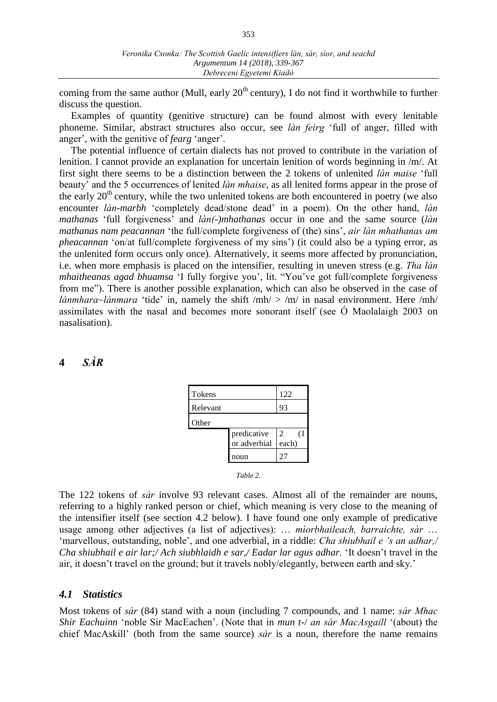coming from the same author (Mull, early  $20<sup>th</sup>$  century), I do not find it worthwhile to further discuss the question.

Examples of quantity (genitive structure) can be found almost with every lenitable phoneme. Similar, abstract structures also occur, see *làn feirg* 'full of anger, filled with anger', with the genitive of *fearg* 'anger'.

The potential influence of certain dialects has not proved to contribute in the variation of lenition. I cannot provide an explanation for uncertain lenition of words beginning in /m/. At first sight there seems to be a distinction between the 2 tokens of unlenited *làn maise* 'full beauty' and the 5 occurrences of lenited *làn mhaise*, as all lenited forms appear in the prose of the early  $20<sup>th</sup>$  century, while the two unlenited tokens are both encountered in poetry (we also encounter *làn-marbh* 'completely dead/stone dead' in a poem). On the other hand, *làn mathanas* 'full forgiveness' and *làn(-)mhathanas* occur in one and the same source (*làn mathanas nam peacannan* 'the full/complete forgiveness of (the) sins', *air làn mhathanas am pheacannan* 'on/at full/complete forgiveness of my sins') (it could also be a typing error, as the unlenited form occurs only once). Alternatively, it seems more affected by pronunciation, i.e. when more emphasis is placed on the intensifier, resulting in uneven stress (e.g. *Tha làn mhaitheanas agad bhuamsa* 'I fully forgive you', lit. "You've got full/complete forgiveness from me"). There is another possible explanation, which can also be observed in the case of *lánmhara~lánmara* 'tide' in, namely the shift /mh/ > /m/ in nasal environment. Here /mh/ assimilates with the nasal and becomes more sonorant itself (see Ó Maolalaigh 2003 on nasalisation).

## **4** *SÀR*

| <b>Tokens</b> |                             | 122              |
|---------------|-----------------------------|------------------|
| Relevant      |                             | 93               |
| Other         |                             |                  |
|               | predicative<br>or adverbial | 2<br>(1<br>each) |
|               | noun                        | 27               |

*Table 2.*

The 122 tokens of *sàr* involve 93 relevant cases. Almost all of the remainder are nouns, referring to a highly ranked person or chief, which meaning is very close to the meaning of the intensifier itself (see section 4.2 below). I have found one only example of predicative usage among other adjectives (a list of adjectives): … *mìorbhaileach, barraichte, sàr* … 'marvellous, outstanding, noble', and one adverbial, in a riddle: *Cha shiubhail e 's an adhar,/ Cha shiubhail e air lar;/ Ach siubhlaidh e sar,/ Eadar lar agus adhar.* 'It doesn't travel in the air, it doesn't travel on the ground; but it travels nobly/elegantly, between earth and sky.'

## *4.1 Statistics*

Most tokens of *sàr* (84) stand with a noun (including 7 compounds, and 1 name: *sàr Mhac Shir Eachuinn* 'noble Sir MacEachen'. (Note that in *mun t-*/ *an sàr MacAsgaill* '(about) the chief MacAskill' (both from the same source) *sàr* is a noun, therefore the name remains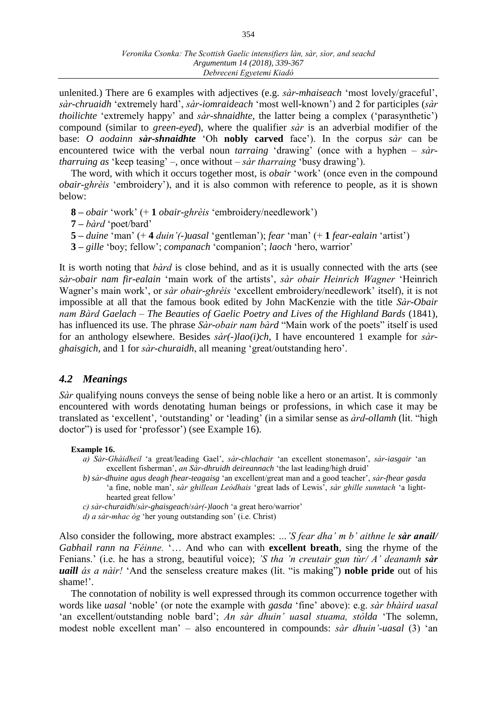unlenited.) There are 6 examples with adjectives (e.g. *sàr-mhaiseach* 'most lovely/graceful', *sàr-chruaidh* 'extremely hard', *sàr-iomraideach* 'most well-known') and 2 for participles (*sàr thoilichte* 'extremely happy' and *sàr-shnaidhte*, the latter being a complex (ʻparasynthetic') compound (similar to *green-eyed*), where the qualifier *sàr* is an adverbial modifier of the base: *O aodainn sàr-shnaidhte* 'Oh **nobly carved** face'). In the corpus *sàr* can be encountered twice with the verbal noun *tarraing* 'drawing' (once with a hyphen – *sàrtharruing as* 'keep teasing' –, once without – *sàr tharraing* 'busy drawing').

The word, with which it occurs together most, is *obair* 'work' (once even in the compound *obair-ghrèis* 'embroidery'), and it is also common with reference to people, as it is shown below:

- **8 –** *obair* 'work' (+ **1** *obair-ghrèis* 'embroidery/needlework')
- **7 –** *bàrd* 'poet/bard'
- **5 –** *duine* 'man' (+ **4** *duin'(-)uasal* 'gentleman'); *fear* 'man' (+ **1** *fear-ealain* 'artist')
- **3 –** *gille* 'boy; fellow'; *companach* 'companion'; *laoch* 'hero, warrior'

It is worth noting that *bàrd* is close behind, and as it is usually connected with the arts (see *sàr-obair nam fir-ealain* 'main work of the artists', *sàr obair Heinrich Wagner* 'Heinrich Wagner's main work', or *sàr obair-ghréis* 'excellent embroidery/needlework' itself), it is not impossible at all that the famous book edited by John MacKenzie with the title *Sàr-Obair nam Bàrd Gaelach – The Beauties of Gaelic Poetry and Lives of the Highland Bards* (1841), has influenced its use. The phrase *Sàr-obair nam bàrd* "Main work of the poets" itself is used for an anthology elsewhere. Besides *sàr(-)lao(i)ch*, I have encountered 1 example for *sàrghaisgich*, and 1 for *sàr-churaidh*, all meaning 'great/outstanding hero'.

## *4.2 Meanings*

*Sàr* qualifying nouns conveys the sense of being noble like a hero or an artist. It is commonly encountered with words denotating human beings or professions, in which case it may be translated as 'excellent', 'outstanding' or 'leading' (in a similar sense as *àrd-ollamh* (lit. "high doctor") is used for 'professor') (see Example 16).

#### **Example 16.**

- *a) Sàr-Ghàidheil* 'a great/leading Gael', *sàr-chlachair* 'an excellent stonemason', *sàr-iasgair* 'an excellent fisherman', *an Sàr-dhruidh deireannach* 'the last leading/high druid'
- *b) sàr-dhuine agus deagh fhear-teagaisg* 'an excellent/great man and a good teacher', *sàr-fhear gasda*  'a fine, noble man', *sàr ghillean Leòdhais* 'great lads of Lewis', *sàr ghille sunntach* 'a lighthearted great fellow'
- *c) sàr-churaidh*/*sàr-ghaisgeach*/*sàr(-)laoch* 'a great hero/warrior'
- *d) a sàr-mhac òg* 'her young outstanding son' (i.e. Christ)

Also consider the following, more abstract examples: *…'S fear dha' m b' aithne le sàr anail/ Gabhail rann na Féinne.* '… And who can with **excellent breath**, sing the rhyme of the Fenians.' (i.e. he has a strong, beautiful voice); *'S tha 'n creutair gun tùr/ A' deanamh sàr uaill ás a nàir!* 'And the senseless creature makes (lit. "is making") **noble pride** out of his shame!'.

The connotation of nobility is well expressed through its common occurrence together with words like *uasal* 'noble' (or note the example with *gasda* 'fine' above): e.g. *sàr bhàird uasal* 'an excellent/outstanding noble bard'; *An sàr dhuin' uasal stuama, stòlda* 'The solemn, modest noble excellent man' – also encountered in compounds: *sàr dhuin'-uasal* (3) 'an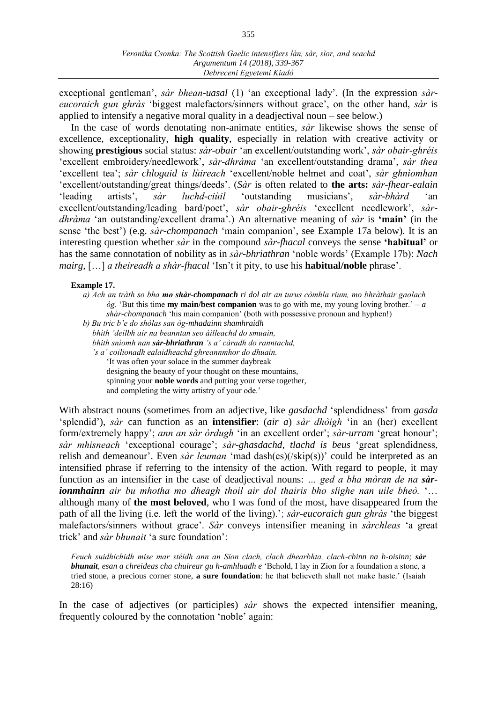exceptional gentleman', *sàr bhean-uasal* (1) 'an exceptional lady'. (In the expression *sàreucoraich gun ghràs* 'biggest malefactors/sinners without grace', on the other hand, *sàr* is applied to intensify a negative moral quality in a deadjectival noun – see below.)

In the case of words denotating non-animate entities, *sàr* likewise shows the sense of excellence, exceptionality, **high quality**, especially in relation with creative activity or showing **prestigious** social status: *sàr-obair* 'an excellent/outstanding work', *sàr obair-ghréis* 'excellent embroidery/needlework', *sàr-dhràma* 'an excellent/outstanding drama', *sàr thea* 'excellent tea'; *sàr chlogaid is lùireach* 'excellent/noble helmet and coat', *sàr ghnìomhan* 'excellent/outstanding/great things/deeds'. (*Sàr* is often related to **the arts:** *sàr-fhear-ealain* 'leading artists', *sàr luchd-ciùil* 'outstanding musicians', *sàr-bhàrd* 'an excellent/outstanding/leading bard/poet', *sàr obair-ghréis* 'excellent needlework', *sàrdhràma* 'an outstanding/excellent drama'.) An alternative meaning of *sàr* is **'main'** (in the sense 'the best') (e.g. *sàr-chompanach* 'main companion', see Example 17a below). It is an interesting question whether *sàr* in the compound *sàr-fhacal* conveys the sense **'habitual'** or has the same connotation of nobility as in *sàr-bhriathran* 'noble words' (Example 17b): *Nach mairg,* […] *a theireadh a shàr-fhacal* 'Isn't it pity, to use his **habitual/noble** phrase'.

#### **Example 17.**

- *a) Ach an tràth so bha mo shàr-chompanach ri dol air an turus còmhla rium, mo bhràthair gaolach òg.* 'But this time **my main/best companion** was to go with me, my young loving brother.' – *a shàr-chompanach* 'his main companion' (both with possessive pronoun and hyphen!)
- *b) Bu tric b'e do shòlas san òg-mhadainn shamhraidh bhith 'deilbh air na beanntan seo àilleachd do smuain, bhith snìomh nan sàr-bhriathran 's a' càradh do ranntachd, 's a' coilionadh ealaidheachd ghreannmhor do dhuain.* 'It was often your solace in the summer daybreak designing the beauty of your thought on these mountains, spinning your **noble words** and putting your verse together, and completing the witty artistry of your ode.'

With abstract nouns (sometimes from an adjective, like *gasdachd* 'splendidness' from *gasda* 'splendid'), *sàr* can function as an **intensifier**: (*air a*) *sàr dhòigh* 'in an (her) excellent form/extremely happy'; *ann an sàr òrdugh* 'in an excellent order'; *sàr-urram* 'great honour'; *sàr mhisneach* 'exceptional courage'; *sàr-ghasdachd, tlachd is beus* 'great splendidness, relish and demeanour'. Even *sàr leuman* 'mad dash(es)(/skip(s))' could be interpreted as an intensified phrase if referring to the intensity of the action. With regard to people, it may function as an intensifier in the case of deadjectival nouns: *… ged a bha mòran de na sàrionmhainn air bu mhotha mo dheagh thoil air dol thairis bho slighe nan uile bheò.* '… although many of **the most beloved**, who I was fond of the most, have disappeared from the path of all the living (i.e. left the world of the living).'; *sàr-eucoraich gun ghràs* 'the biggest malefactors/sinners without grace'. *Sàr* conveys intensifier meaning in *sàrchleas* 'a great trick' and *sàr bhunait* 'a sure foundation':

*Feuch suidhichidh mise mar stéidh ann an Sion clach, clach dhearbhta, clach-chinn na h-oisinn; sàr bhunait, esan a chreideas cha chuirear gu h-amhluadh e* 'Behold, I lay in Zion for a foundation a stone, a tried stone, a precious corner stone, **a sure foundation**: he that believeth shall not make haste.' (Isaiah 28:16)

In the case of adjectives (or participles) *sàr* shows the expected intensifier meaning, frequently coloured by the connotation 'noble' again: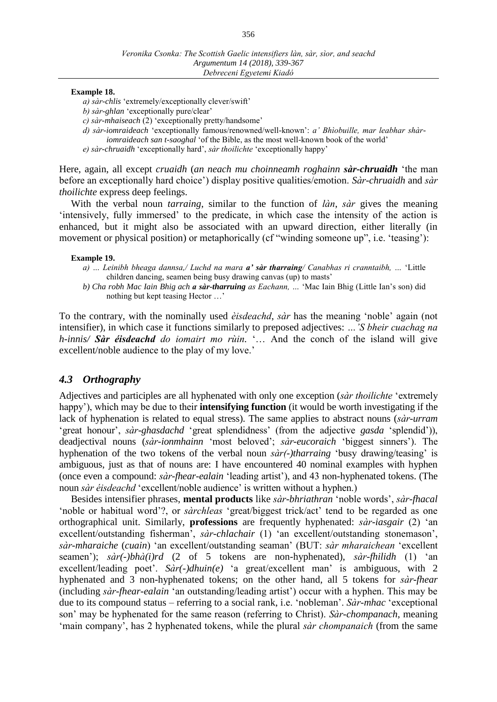#### **Example 18.**

*a) sàr-chlis* 'extremely/exceptionally clever/swift'

*b) sàr-ghlan* 'exceptionally pure/clear'

*c) sàr-mhaiseach* (2) 'exceptionally pretty/handsome'

*d) sàr-iomraideach* 'exceptionally famous/renowned/well-known': *a' Bhìobuille, mar leabhar shàriomraideach san t-saoghal* 'of the Bible, as the most well-known book of the world' *e) sàr-chruaidh* 'exceptionally hard', *sàr thoilichte* 'exceptionally happy'

Here, again, all except *cruaidh* (*an neach mu choinneamh roghainn sàr-chruaidh* 'the man before an exceptionally hard choice') display positive qualities/emotion. *Sàr-chruaidh* and *sàr thoilichte* express deep feelings.

With the verbal noun *tarraing*, similar to the function of *làn*, *sàr* gives the meaning 'intensively, fully immersed' to the predicate, in which case the intensity of the action is enhanced, but it might also be associated with an upward direction, either literally (in movement or physical position) or metaphorically (cf "winding someone up", i.e. 'teasing'):

#### **Example 19.**

- *a) … Leinibh bheaga dannsa,/ Luchd na mara a' sàr tharraing/ Canabhas ri cranntaibh, …* 'Little children dancing, seamen being busy drawing canvas (up) to masts'
- *b) Cha robh Mac Iain Bhig ach a sàr-tharruing as Eachann, …* 'Mac Iain Bhig (Little Ian's son) did nothing but kept teasing Hector …'

To the contrary, with the nominally used *èisdeachd*, *sàr* has the meaning 'noble' again (not intensifier), in which case it functions similarly to preposed adjectives: *…'S bheir cuachag na h-innis/ Sàr éisdeachd do iomairt mo rùin.* '… And the conch of the island will give excellent/noble audience to the play of my love.'

## *4.3 Orthography*

Adjectives and participles are all hyphenated with only one exception (*sàr thoilichte* 'extremely happy'), which may be due to their **intensifying function** (it would be worth investigating if the lack of hyphenation is related to equal stress). The same applies to abstract nouns (*sàr-urram*  'great honour', *sàr-ghasdachd* 'great splendidness' (from the adjective *gasda* 'splendid')), deadjectival nouns (*sàr-ionmhainn* 'most beloved'; *sàr-eucoraich* 'biggest sinners'). The hyphenation of the two tokens of the verbal noun *sàr(-)tharraing* 'busy drawing/teasing' is ambiguous, just as that of nouns are: I have encountered 40 nominal examples with hyphen (once even a compound: *sàr-fhear-ealain* 'leading artist'), and 43 non-hyphenated tokens. (The noun *sàr éisdeachd* 'excellent/noble audience' is written without a hyphen.)

Besides intensifier phrases, **mental products** like *sàr-bhriathran* 'noble words', *sàr-fhacal* ʻnoble or habitual word'?, or *sàrchleas* 'great/biggest trick/act' tend to be regarded as one orthographical unit. Similarly, **professions** are frequently hyphenated: *sàr-iasgair* (2) 'an excellent/outstanding fisherman', *sàr-chlachair* (1) 'an excellent/outstanding stonemason', *sàr-mharaiche* (*cuain*) 'an excellent/outstanding seaman' (BUT: *sàr mharaichean* 'excellent seamen'); *sàr(-)bhà(i)rd* (2 of 5 tokens are non-hyphenated), *sàr-fhilidh* (1) 'an excellent/leading poet'. *Sàr(-)dhuin(e)* 'a great/excellent man' is ambiguous, with 2 hyphenated and 3 non-hyphenated tokens; on the other hand, all 5 tokens for *sàr-fhear* (including *sàr-fhear-ealain* 'an outstanding/leading artist') occur with a hyphen. This may be due to its compound status – referring to a social rank, i.e. 'nobleman'. *Sàr-mhac* 'exceptional son' may be hyphenated for the same reason (referring to Christ). *Sàr-chompanach*, meaning 'main company', has 2 hyphenated tokens, while the plural *sàr chompanaich* (from the same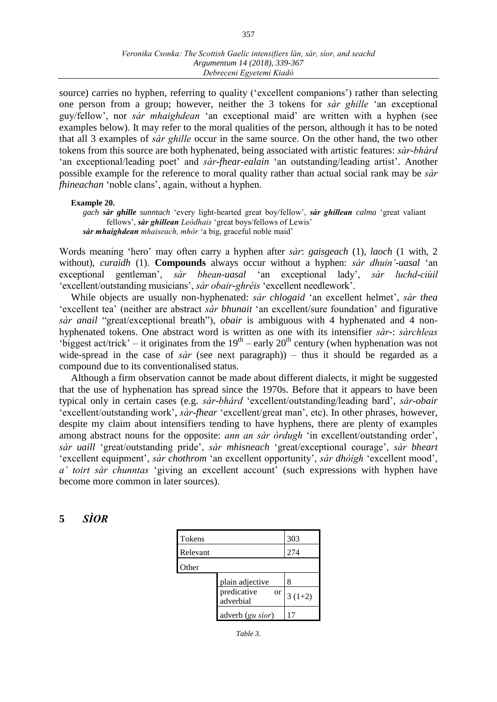#### *Veronika Csonka: The Scottish Gaelic intensifiers làn, sàr, sìor, and seachd Argumentum 14 (2018), 339-367 Debreceni Egyetemi Kiadó*

source) carries no hyphen, referring to quality ('excellent companions') rather than selecting one person from a group; however, neither the 3 tokens for *sàr ghille* 'an exceptional guy/fellow', nor *sàr mhaighdean* 'an exceptional maid' are written with a hyphen (see examples below). It may refer to the moral qualities of the person, although it has to be noted that all 3 examples of *sàr ghille* occur in the same source. On the other hand, the two other tokens from this source are both hyphenated, being associated with artistic features: *sàr-bhàrd* 'an exceptional/leading poet' and *sàr-fhear-ealain* 'an outstanding/leading artist'. Another possible example for the reference to moral quality rather than actual social rank may be *sàr fhineachan* 'noble clans', again, without a hyphen.

#### **Example 20.**

*gach sàr ghille sunntach* 'every light-hearted great boy/fellow', *sàr ghillean calma* 'great valiant fellows', *sàr ghillean Leòdhais* 'great boys/fellows of Lewis' *sàr mhaighdean mhaiseach, mhòr* 'a big, graceful noble maid'

Words meaning 'hero' may often carry a hyphen after *sàr*: *gaisgeach* (1), *laoch* (1 with, 2 without), *curaidh* (1). **Compounds** always occur without a hyphen: *sàr dhuin'-uasal* 'an exceptional gentleman', *sàr bhean-uasal* 'an exceptional lady', *sàr luchd-ciùil*  'excellent/outstanding musicians', *sàr obair-ghréis* 'excellent needlework'.

While objects are usually non-hyphenated: *sàr chlogaid* 'an excellent helmet', *sàr thea* 'excellent tea' (neither are abstract *sàr bhunait* 'an excellent/sure foundation' and figurative *sàr anail* "great/exceptional breath"), *obair* is ambiguous with 4 hyphenated and 4 nonhyphenated tokens. One abstract word is written as one with its intensifier *sàr-*: *sàrchleas* 'biggest act/trick' – it originates from the  $19<sup>th</sup>$  – early  $20<sup>th</sup>$  century (when hyphenation was not wide-spread in the case of *sàr* (see next paragraph)) – thus it should be regarded as a compound due to its conventionalised status.

Although a firm observation cannot be made about different dialects, it might be suggested that the use of hyphenation has spread since the 1970s. Before that it appears to have been typical only in certain cases (e.g. *sàr-bhárd* 'excellent/outstanding/leading bard', *sàr-obair* 'excellent/outstanding work', *sàr-fhear* 'excellent/great man', etc). In other phrases, however, despite my claim about intensifiers tending to have hyphens, there are plenty of examples among abstract nouns for the opposite: *ann an sàr òrdugh* 'in excellent/outstanding order', *sàr uaill* 'great/outstanding pride', *sàr mhisneach* 'great/exceptional courage', *sàr bheart* 'excellent equipment', *sàr chothrom* 'an excellent opportunity', *sàr dhòigh* 'excellent mood', *a' toirt sàr chunntas* 'giving an excellent account' (such expressions with hyphen have become more common in later sources).

## **5** *SÌOR*

| <b>Tokens</b> |                                | 303      |
|---------------|--------------------------------|----------|
| Relevant      |                                | 274      |
| Other         |                                |          |
|               | plain adjective                | 8        |
|               | predicative<br>or<br>adverbial | $3(1+2)$ |
|               | adverb (gu sior)               |          |

*Table 3.*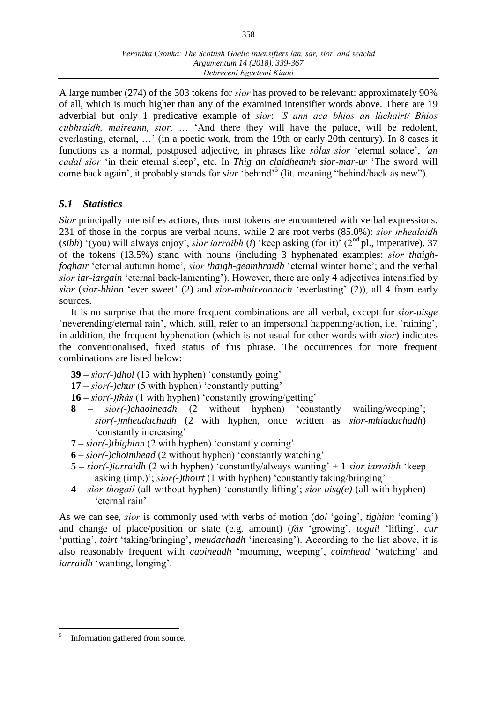A large number (274) of the 303 tokens for *sìor* has proved to be relevant: approximately 90% of all, which is much higher than any of the examined intensifier words above. There are 19 adverbial but only 1 predicative example of *sìor*: *'S ann aca bhios an lùchairt/ Bhios cùbhraidh, maireann, sìor,* … 'And there they will have the palace, will be redolent, everlasting, eternal, …' (in a poetic work, from the 19th or early 20th century). In 8 cases it functions as a normal, postposed adjective, in phrases like *sòlas sìor* 'eternal solace', *'an cadal sìor* 'in their eternal sleep', etc. In *Thig an claidheamh sior-mar-ur* 'The sword will come back again', it probably stands for *siar* 'behind'<sup>5</sup> (lit. meaning "behind/back as new").

## *5.1 Statistics*

*Sìor* principally intensifies actions, thus most tokens are encountered with verbal expressions. 231 of those in the corpus are verbal nouns, while 2 are root verbs (85.0%): *sìor mhealaidh* (*sibh*) '(you) will always enjoy', *sìor iarraibh* (*i*) 'keep asking (for it)' (2<sup>nd</sup> pl., imperative). 37 of the tokens (13.5%) stand with nouns (including 3 hyphenated examples: *sìor thaighfoghair* 'eternal autumn home', *sìor thaigh-geamhraidh* 'eternal winter home'; and the verbal *sìor iar-iargain* 'eternal back-lamenting'). However, there are only 4 adjectives intensified by *sìor* (*sìor-bhinn* 'ever sweet' (2) and *sìor-mhaireannach* 'everlasting' (2)), all 4 from early sources.

It is no surprise that the more frequent combinations are all verbal, except for *sìor-uisge*  'neverending/eternal rain', which, still, refer to an impersonal happening/action, i.e. 'raining', in addition, the frequent hyphenation (which is not usual for other words with *sìor*) indicates the conventionalised, fixed status of this phrase. The occurrences for more frequent combinations are listed below:

- **39 –** *sìor(-)dhol* (13 with hyphen) 'constantly going'
- **17 –** *sìor(-)chur* (5 with hyphen) 'constantly putting'
- **16 –** *sìor(-)fhàs* (1 with hyphen) 'constantly growing/getting'
- **8 –** *sìor(-)chaoineadh* (2 without hyphen) 'constantly wailing/weeping'; *sìor(-)mheudachadh* (2 with hyphen, once written as *sìor-mhiadachadh*) 'constantly increasing'
- **7 –** *sìor(-)thighinn* (2 with hyphen) 'constantly coming'
- **6 –** *sìor(-)choimhead* (2 without hyphen) 'constantly watching'
- **5 –** *sìor(-)iarraidh* (2 with hyphen) 'constantly/always wanting' + **1** *sìor iarraibh* 'keep asking (imp.)'; *sìor(-)thoirt* (1 with hyphen) 'constantly taking/bringing'
- **4 –** *sìor thogail* (all without hyphen) 'constantly lifting'; *sìor-uisg(e)* (all with hyphen) 'eternal rain'

As we can see, *sìor* is commonly used with verbs of motion (*dol* 'going', *tighinn* 'coming') and change of place/position or state (e.g. amount) (*fàs* 'growing', *togail* 'lifting', *cur* 'putting', *toirt* 'taking/bringing', *meudachadh* 'increasing'). According to the list above, it is also reasonably frequent with *caoineadh* 'mourning, weeping', *coimhead* 'watching' and *iarraidh* 'wanting, longing'.

 $\overline{a}$ 5 Information gathered from source.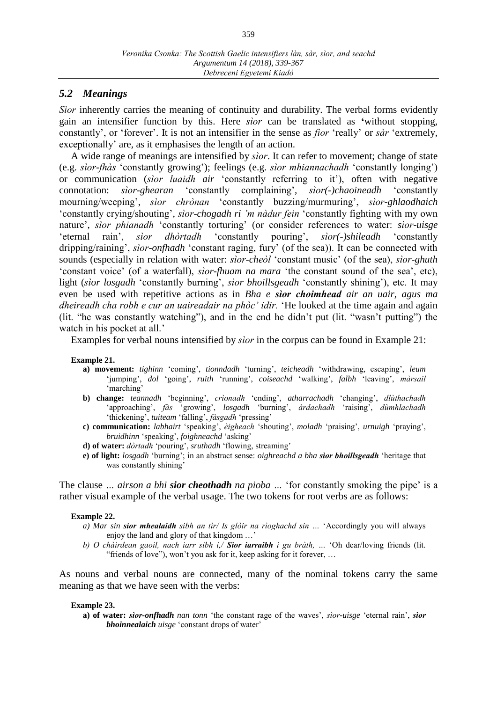## *5.2 Meanings*

*Sìor* inherently carries the meaning of continuity and durability. The verbal forms evidently gain an intensifier function by this. Here *sìor* can be translated as **'**without stopping, constantly', or 'forever'. It is not an intensifier in the sense as *fìor* ʻreally' or *sàr* ʻextremely, exceptionally' are, as it emphasises the length of an action.

A wide range of meanings are intensified by *sìor*. It can refer to movement; change of state (e.g. *sìor-fhàs* 'constantly growing'); feelings (e.g. *sìor mhiannachadh* 'constantly longing') or communication (*sìor luaidh air* 'constantly referring to it'), often with negative connotation: *sìor-ghearan* 'constantly complaining', *sìor(-)chaoineadh* 'constantly mourning/weeping', *sìor chrònan* 'constantly buzzing/murmuring', *sìor-ghlaodhaich* 'constantly crying/shouting', *sìor-chogadh ri 'm nàdur fein* 'constantly fighting with my own nature', *sìor phianadh* 'constantly torturing' (or consider references to water: *sìor-uisge*  'eternal rain', *sìor dhòrtadh* 'constantly pouring', *sìor(-)shileadh* 'constantly dripping/raining', *sìor-onfhadh* 'constant raging, fury' (of the sea)). It can be connected with sounds (especially in relation with water: *sìor-cheòl* 'constant music' (of the sea), *sìor-ghuth* 'constant voice' (of a waterfall), *sìor-fhuam na mara* 'the constant sound of the sea', etc), light (*sìor losgadh* 'constantly burning', *sìor bhoillsgeadh* 'constantly shining'), etc. It may even be used with repetitive actions as in *Bha e sìor choimhead air an uair, agus ma dheireadh cha robh e cur an uaireadair na phòc' idir.* ʻHe looked at the time again and again (lit. "he was constantly watching"), and in the end he didn't put (lit. "wasn't putting") the watch in his pocket at all.'

Examples for verbal nouns intensified by *sìor* in the corpus can be found in Example 21:

#### **Example 21.**

- **a) movement:** *tighinn* 'coming', *tionndadh* 'turning', *teicheadh* 'withdrawing, escaping', *leum*  'jumping', *dol* 'going', *ruith* 'running', *coiseachd* 'walking', *falbh* 'leaving', *màrsail*  'marching'
- **b) change:** *teannadh* 'beginning', *crìonadh* 'ending', *atharrachadh* 'changing', *dlùthachadh*  'approaching', *fàs* 'growing', *losgadh* 'burning', *àrdachadh* 'raising', *dùmhlachadh* 'thickening', *tuiteam* 'falling', *fàsgadh* 'pressing'
- **c) communication:** *labhairt* 'speaking', *èigheach* 'shouting', *moladh* 'praising', *urnuigh* 'praying', *bruidhinn* 'speaking', *foighneachd* 'asking'
- **d) of water:** *dòrtadh* 'pouring', *sruthadh* 'flowing, streaming'
- **e) of light:** *losgadh* 'burning'; in an abstract sense: *oighreachd a bha sìor bhoillsgeadh* 'heritage that was constantly shining'

The clause *… airson a bhi sior cheothadh na pioba …* 'for constantly smoking the pipe' is a rather visual example of the verbal usage. The two tokens for root verbs are as follows:

#### **Example 22.**

- *a) Mar sin sìor mhealaidh sibh an tìr/ Is glòir na rìoghachd sin …* 'Accordingly you will always enjoy the land and glory of that kingdom …'
- *b) O chàirdean gaoil, nach iarr sibh i,/ Sìor iarraibh i gu bràth, …* 'Oh dear/loving friends (lit. "friends of love"), won't you ask for it, keep asking for it forever, …

As nouns and verbal nouns are connected, many of the nominal tokens carry the same meaning as that we have seen with the verbs:

#### **Example 23.**

**a) of water:** *sìor-onfhadh nan tonn* 'the constant rage of the waves', *sìor-uisge* 'eternal rain', *sìor bhoinnealaich uisge* 'constant drops of water'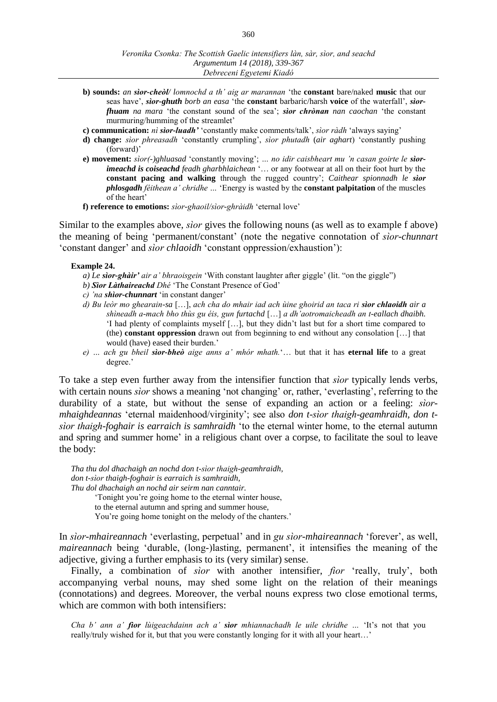- **b) sounds:** *an sìor-cheòl/ lomnochd a th' aig ar marannan* 'the **constant** bare/naked **music** that our seas have', *sìor-ghuth borb an easa* 'the **constant** barbaric/harsh **voice** of the waterfall', *sìorfhuam na mara* 'the constant sound of the sea'; *sìor chrònan nan caochan* 'the constant murmuring/humming of the streamlet'
- **c) communication:** *nì sìor-luadh'* 'constantly make comments/talk', *sìor ràdh* 'always saying'
- **d) change:** *sìor phreasadh* 'constantly crumpling', *sìor phutadh* (*air aghart*) 'constantly pushing (forward)'
- **e) movement:** *sìor(-)ghluasad* 'constantly moving'; *… no idir caisbheart mu 'n casan goirte le sìorimeachd is coiseachd feadh gharbhlaichean* '… or any footwear at all on their foot hurt by the **constant pacing and walking** through the rugged country'; *Caithear spionnadh le sìor phlosgadh féithean a' chridhe …* 'Energy is wasted by the **constant palpitation** of the muscles of the heart'
- **f) reference to emotions:** *sìor-ghaoil/sìor-ghràidh* 'eternal love'

Similar to the examples above, *sìor* gives the following nouns (as well as to example f above) the meaning of being 'permanent/constant' (note the negative connotation of *sìor-chunnart* 'constant danger' and *sìor chlaoidh* 'constant oppression/exhaustion'):

#### **Example 24.**

- *a) Le sìor-ghàir' air a' bhraoisgein* 'With constant laughter after giggle' (lit. "on the giggle")
- *b) Sìor Làthaireachd Dhé* 'The Constant Presence of God'
- *c) 'na shìor-chunnart* 'in constant danger'
- *d) Bu leòr mo ghearain-sa* […], *ach cha do mhair iad ach ùine ghoirid an taca ri sìor chlaoidh air a shìneadh a-mach bho thùs gu éis, gun furtachd* […] *a dh'aotromaicheadh an t-eallach dhaibh.*  'I had plenty of complaints myself […], but they didn't last but for a short time compared to (the) **constant oppression** drawn out from beginning to end without any consolation […] that would (have) eased their burden.'
- *e) … ach gu bheil sìor-bheò aige anns a' mhór mhath.*'… but that it has **eternal life** to a great degree.'

To take a step even further away from the intensifier function that *sìor* typically lends verbs, with certain nouns *sìor* shows a meaning 'not changing' or, rather, 'everlasting', referring to the durability of a state, but without the sense of expanding an action or a feeling: *sìormhaighdeannas* 'eternal maidenhood/virginity'; see also *don t-sìor thaigh-geamhraidh, don tsìor thaigh-foghair is earraich is samhraidh* 'to the eternal winter home, to the eternal autumn and spring and summer home' in a religious chant over a corpse, to facilitate the soul to leave the body:

*Tha thu dol dhachaigh an nochd don t-sìor thaigh-geamhraidh, don t-sìor thaigh-foghair is earraich is samhraidh, Thu dol dhachaigh an nochd air seirm nan canntair.* 'Tonight you're going home to the eternal winter house, to the eternal autumn and spring and summer house, You're going home tonight on the melody of the chanters.'

In *sìor-mhaireannach* 'everlasting, perpetual' and in *gu sìor-mhaireannach* 'forever', as well, *maireannach* being 'durable, (long-)lasting, permanent', it intensifies the meaning of the adjective, giving a further emphasis to its (very similar) sense.

Finally, a combination of *sìor* with another intensifier, *fìor* ʻreally, truly', both accompanying verbal nouns, may shed some light on the relation of their meanings (connotations) and degrees. Moreover, the verbal nouns express two close emotional terms, which are common with both intensifiers:

*Cha b' ann a' fìor lùigeachdainn ach a' sìor mhiannachadh le uile chridhe …* 'It's not that you really/truly wished for it, but that you were constantly longing for it with all your heart…'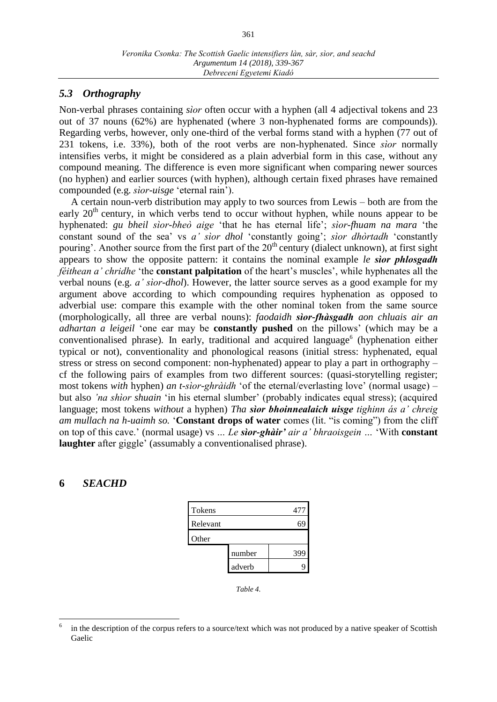## *5.3 Orthography*

Non-verbal phrases containing *sìor* often occur with a hyphen (all 4 adjectival tokens and 23 out of 37 nouns (62%) are hyphenated (where 3 non-hyphenated forms are compounds)). Regarding verbs, however, only one-third of the verbal forms stand with a hyphen (77 out of 231 tokens, i.e. 33%), both of the root verbs are non-hyphenated. Since *sìor* normally intensifies verbs, it might be considered as a plain adverbial form in this case, without any compound meaning. The difference is even more significant when comparing newer sources (no hyphen) and earlier sources (with hyphen), although certain fixed phrases have remained compounded (e.g. *sìor*-*uisge* 'eternal rain').

A certain noun-verb distribution may apply to two sources from Lewis – both are from the early  $20<sup>th</sup>$  century, in which verbs tend to occur without hyphen, while nouns appear to be hyphenated: *gu bheil sìor-bheò aige* 'that he has eternal life'; *sìor-fhuam na mara* 'the constant sound of the sea' vs *a' sìor dhol* 'constantly going'; *sìor dhòrtadh* 'constantly pouring'. Another source from the first part of the 20<sup>th</sup> century (dialect unknown), at first sight appears to show the opposite pattern: it contains the nominal example *le sìor phlosgadh féithean a' chridhe* 'the **constant palpitation** of the heart's muscles', while hyphenates all the verbal nouns (e.g. *a' sìor-dhol*). However, the latter source serves as a good example for my argument above according to which compounding requires hyphenation as opposed to adverbial use: compare this example with the other nominal token from the same source (morphologically, all three are verbal nouns): *faodaidh sìor-fhàsgadh aon chluais air an adhartan a leigeil* 'one ear may be **constantly pushed** on the pillows' (which may be a conventionalised phrase). In early, traditional and acquired language<sup>6</sup> (hyphenation either typical or not), conventionality and phonological reasons (initial stress: hyphenated, equal stress or stress on second component: non-hyphenated) appear to play a part in orthography – cf the following pairs of examples from two different sources: (quasi-storytelling register; most tokens *with* hyphen) *an t-sìor-ghràidh* 'of the eternal/everlasting love' (normal usage) – but also *'na shìor shuain* 'in his eternal slumber' (probably indicates equal stress); (acquired language; most tokens *without* a hyphen) *Tha sìor bhoinnealaich uisge tighinn ás a' chreig am mullach na h-uaimh so.* '**Constant drops of water** comes (lit. "is coming") from the cliff on top of this cave.' (normal usage) vs *… Le sìor-ghàir' air a' bhraoisgein …* 'With **constant laughter** after giggle' (assumably a conventionalised phrase).

## **6** *SEACHD*

 $\overline{a}$ 

| Tokens   |        | 477 |
|----------|--------|-----|
| Relevant |        |     |
| Other    |        |     |
|          | number | 399 |
|          | adverb |     |

*Table 4.*

<sup>6</sup> in the description of the corpus refers to a source/text which was not produced by a native speaker of Scottish Gaelic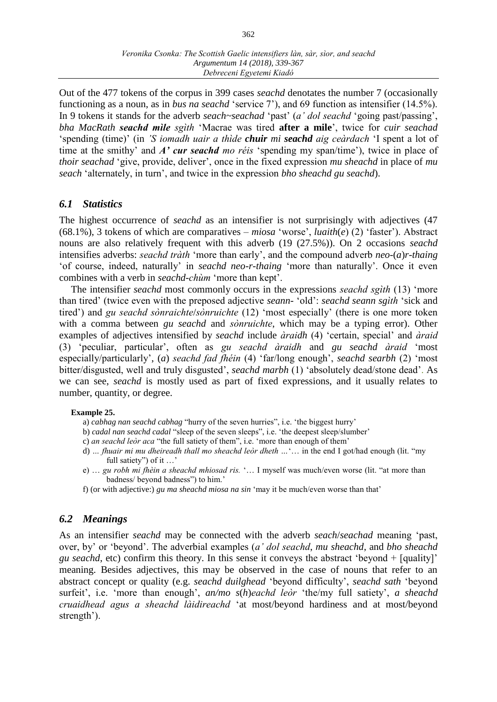Out of the 477 tokens of the corpus in 399 cases *seachd* denotates the number 7 (occasionally functioning as a noun, as in *bus na seachd* ʻservice 7'), and 69 function as intensifier (14.5%). In 9 tokens it stands for the adverb *seach~seachad* ʻpast' (*a' dol seachd* ʻgoing past/passing', *bha MacRath seachd mìle sgìth* ʻMacrae was tired **after a mile**', twice for *cuir seachad* ʻspending (time)' (in *'S iomadh uair a thìde chuir mi seachd aig ceàrdach* ʻI spent a lot of time at the smithy' and *A' cur seachd mo réis* ʻspending my span/time'), twice in place of *thoir seachad* ʻgive, provide, deliver', once in the fixed expression *mu sheachd* in place of *mu seach* ʻalternately, in turn', and twice in the expression *bho sheachd gu seachd*).

## *6.1 Statistics*

The highest occurrence of *seachd* as an intensifier is not surprisingly with adjectives (47 (68.1%), 3 tokens of which are comparatives – *miosa* ʻworse', *luaith*(*e*) (2) ʻfaster'). Abstract nouns are also relatively frequent with this adverb (19 (27.5%)). On 2 occasions *seachd* intensifies adverbs: *seachd tràth* ʻmore than early', and the compound adverb *neo-*(*a*)*r-thaing* ʻof course, indeed, naturally' in *seachd neo-r-thaing* ʻmore than naturally'. Once it even combines with a verb in *seachd-chùm* ʻmore than kept'.

The intensifier *seachd* most commonly occurs in the expressions *seachd sgìth* (13) ʻmore than tired' (twice even with the preposed adjective *seann-* ʻold': *seachd seann sgìth* ʻsick and tired') and *gu seachd sònraichte*/*sònruichte* (12) ʻmost especially' (there is one more token with a comma between *gu seachd* and *sònruichte*, which may be a typing error). Other examples of adjectives intensified by *seachd* include *àraidh* (4) 'certain, special' and *àraid* (3) ʻpeculiar, particular', often as *gu seachd àraidh* and *gu seachd àraid* ʻmost especially/particularly', (*a*) *seachd fad fhéin* (4) ʻfar/long enough', *seachd searbh* (2) ʻmost bitter/disgusted, well and truly disgusted', *seachd marbh* (1) ʻabsolutely dead/stone dead'. As we can see, *seachd* is mostly used as part of fixed expressions, and it usually relates to number, quantity, or degree.

## **Example 25.**

- a) *cabhag nan seachd cabhag* "hurry of the seven hurries", i.e. ʻthe biggest hurry'
- b) *cadal nan seachd cadal* "sleep of the seven sleeps", i.e. ʻthe deepest sleep/slumber'
- c) *an seachd leòr aca* "the full satiety of them", i.e. ʻmore than enough of them'
- d) *… fhuair mi mu dheireadh thall mo sheachd leòr dheth …*ʻ… in the end I got/had enough (lit. "my full satiety") of it …'
- e) … *gu robh mi fhèin a sheachd mhiosad ris.* ʻ… I myself was much/even worse (lit. "at more than badness/ beyond badness") to him.'
- f) (or with adjective:) *gu ma sheachd miosa na sin* ʻmay it be much/even worse than that'

## *6.2 Meanings*

As an intensifier *seachd* may be connected with the adverb *seach*/*seachad* meaning ʻpast, over, by' or ʻbeyond'. The adverbial examples (*a' dol seachd*, *mu sheachd*, and *bho sheachd gu seachd*, etc) confirm this theory. In this sense it conveys the abstract ʻbeyond + [quality]' meaning. Besides adjectives, this may be observed in the case of nouns that refer to an abstract concept or quality (e.g. *seachd duilghead* ʻbeyond difficulty', *seachd sath* ʻbeyond surfeit', i.e. ʻmore than enough', *an/mo s*(*h*)*eachd leòr* ʻthe/my full satiety', *a sheachd cruaidhead agus a sheachd làidireachd* ʻat most/beyond hardiness and at most/beyond strength').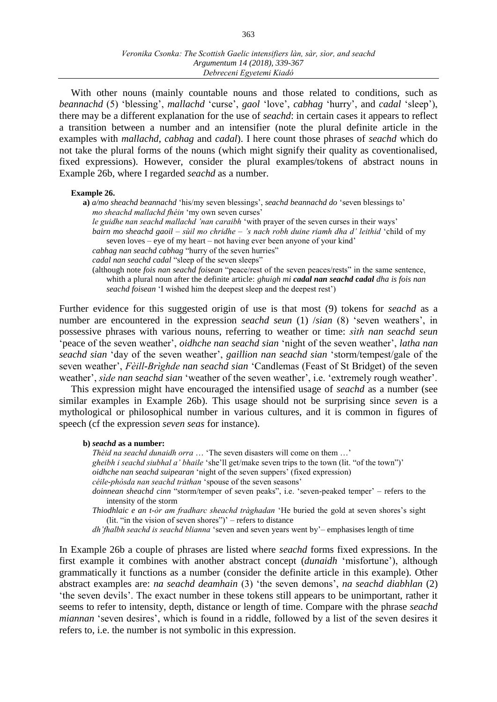With other nouns (mainly countable nouns and those related to conditions, such as *beannachd* (5) ʻblessing', *mallachd* ʻcurse', *gaol* ʻlove', *cabhag* ʻhurry', and *cadal* ʻsleep'), there may be a different explanation for the use of *seachd*: in certain cases it appears to reflect a transition between a number and an intensifier (note the plural definite article in the examples with *mallachd*, *cabhag* and *cadal*). I here count those phrases of *seachd* which do not take the plural forms of the nouns (which might signify their quality as coventionalised, fixed expressions). However, consider the plural examples/tokens of abstract nouns in Example 26b, where I regarded *seachd* as a number.

#### **Example 26.**

**a)** *a/mo sheachd beannachd* ʻhis/my seven blessings', *seachd beannachd do* ʻseven blessings to' *mo sheachd mallachd fhéin* ʻmy own seven curses' *le guidhe nan seachd mallachd 'nan caraibh* ʻwith prayer of the seven curses in their ways' *bairn mo sheachd gaoil – sùil mo chridhe – 's nach robh duine riamh dha d' leithid* ʻchild of my seven loves – eye of my heart – not having ever been anyone of your kind'

*cabhag nan seachd cabhag* "hurry of the seven hurries"

*cadal nan seachd cadal* "sleep of the seven sleeps"

(although note *fois nan seachd foisean* "peace/rest of the seven peaces/rests" in the same sentence, whith a plural noun after the definite article: *ghuigh mi cadal nan seachd cadal dha is fois nan* 

*seachd foisean* ʻI wished him the deepest sleep and the deepest rest')

Further evidence for this suggested origin of use is that most (9) tokens for *seachd* as a number are encountered in the expression *seachd seun* (1) */sian* (8) 'seven weathers', in possessive phrases with various nouns, referring to weather or time: *sìth nan seachd seun*  ʻpeace of the seven weather', *oidhche nan seachd sian* ʻnight of the seven weather', *latha nan seachd sian* ʻday of the seven weather', *gaillion nan seachd sian* ʻstorm/tempest/gale of the seven weather', *Fèill-Brìghde nan seachd sian* ʻCandlemas (Feast of St Bridget) of the seven weather', *sìde nan seachd sian* ʻweather of the seven weather', i.e. ʻextremely rough weather'.

This expression might have encouraged the intensified usage of *seachd* as a number (see similar examples in Example 26b). This usage should not be surprising since *seven* is a mythological or philosophical number in various cultures, and it is common in figures of speech (cf the expression *seven seas* for instance).

#### **b)** *seachd* **as a number:**

*Thèid na seachd dunaidh orra* … ʻThe seven disasters will come on them …' *gheibh i seachd siubhal a' bhaile* ʻshe'll get/make seven trips to the town (lit. "of the town")' *oidhche nan seachd suipearan* ʻnight of the seven suppers' (fixed expression) *céile-phòsda nan seachd tràthan* ʻspouse of the seven seasons' *doinnean sheachd cinn* "storm/temper of seven peaks", i.e. ʻseven-peaked temper' – refers to the intensity of the storm *Thiodhlaic e an t-òr am fradharc sheachd tràghadan* ʻHe buried the gold at seven shores's sight (lit. "in the vision of seven shores")' – refers to distance

*dh'fhalbh seachd is seachd blianna* ʻseven and seven years went by'– emphasises length of time

In Example 26b a couple of phrases are listed where *seachd* forms fixed expressions. In the first example it combines with another abstract concept (*dunaidh* ʻmisfortune'), although grammatically it functions as a number (consider the definite article in this example). Other abstract examples are: *na seachd deamhain* (3) ʻthe seven demons', *na seachd diabhlan* (2) ʻthe seven devils'. The exact number in these tokens still appears to be unimportant, rather it seems to refer to intensity, depth, distance or length of time. Compare with the phrase *seachd miannan* ʻseven desires', which is found in a riddle, followed by a list of the seven desires it refers to, i.e. the number is not symbolic in this expression.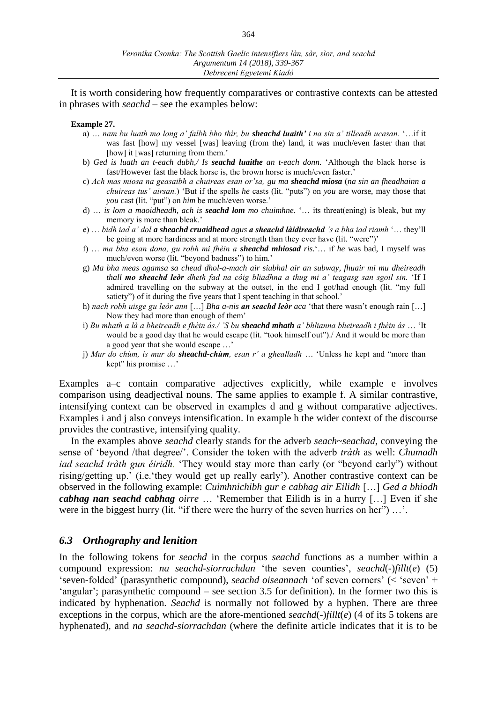It is worth considering how frequently comparatives or contrastive contexts can be attested in phrases with *seachd* – see the examples below:

#### **Example 27.**

- a) … *nam bu luath mo long a' falbh bho thìr, bu sheachd luaith' i na sin a' tilleadh ucasan.* ʻ…if it was fast [how] my vessel [was] leaving (from the) land, it was much/even faster than that [how] it [was] returning from them.'
- b) *Ged is luath an t-each dubh,/ Is seachd luaithe an t-each donn.* ʻAlthough the black horse is fast/However fast the black horse is, the brown horse is much/even faster.'
- c) *Ach mas miosa na geasaibh a chuireas esan or'sa, gu ma sheachd miosa* (*na sin an fheadhainn a chuireas tus' airsan.*) ʻBut if the spells *he* casts (lit. "puts") on *you* are worse, may those that *you* cast (lit. "put") on *him* be much/even worse.'
- d) … *is lom a maoidheadh, ach is seachd lom mo chuimhne.* ʻ… its threat(ening) is bleak, but my memory is more than bleak.'
- e) … *bidh iad a' dol a sheachd cruaidhead agus a sheachd làidireachd 's a bha iad riamh* ʻ… they'll be going at more hardiness and at more strength than they ever have (lit. "were")'
- f) … *ma bha esan dona, gu robh mi fhèin a sheachd mhiosad ris.*ʻ… if *he* was bad, I myself was much/even worse (lit. "beyond badness") to him.'
- g) *Ma bha meas agamsa sa cheud dhol-a-mach air siubhal air an subway, fhuair mi mu dheireadh thall mo sheachd leòr dheth fad na cóig bliadhna a thug mi a' teagasg san sgoil sin.* ʻIf I admired travelling on the subway at the outset, in the end I got/had enough (lit. "my full satiety") of it during the five years that I spent teaching in that school.'
- h) *nach robh uisge gu leòr ann* […] *Bha a-nis an seachd leòr aca* ʻthat there wasn't enough rain […] Now they had more than enough of them'
- i) *Bu mhath a là a bheireadh e fhèin ás./ 'S bu sheachd mhath a' bhlianna bheireadh i fhèin ás* … ʻIt would be a good day that he would escape (lit. "took himself out")./ And it would be more than a good year that she would escape …'
- j) *Mur do chùm, is mur do sheachd-chùm, esan r' a ghealladh* … ʻUnless he kept and "more than kept" his promise …'

Examples a–c contain comparative adjectives explicitly, while example e involves comparison using deadjectival nouns. The same applies to example f. A similar contrastive, intensifying context can be observed in examples d and g without comparative adjectives. Examples i and j also conveys intensification. In example h the wider context of the discourse provides the contrastive, intensifying quality.

In the examples above *seachd* clearly stands for the adverb *seach~seachad*, conveying the sense of ʻbeyond /that degree/'. Consider the token with the adverb *tràth* as well: *Chumadh iad seachd tràth gun éiridh.* ʻThey would stay more than early (or "beyond early") without rising/getting up.' (i.e.ʻthey would get up really early'). Another contrastive context can be observed in the following example: *Cuimhnichibh gur e cabhag air Eilidh* […] *Ged a bhiodh cabhag nan seachd cabhag oirre* … ʻRemember that Eilidh is in a hurry […] Even if she were in the biggest hurry (lit. "if there were the hurry of the seven hurries on her") ...'.

### *6.3 Orthography and lenition*

In the following tokens for *seachd* in the corpus *seachd* functions as a number within a compound expression: *na seachd-siorrachdan* ʻthe seven counties', *seachd*(*-*)*fillt*(*e*) (5) ʻseven-folded' (parasynthetic compound), *seachd oiseannach* ʻof seven corners' (< ʻseven' + ʻangular'; parasynthetic compound – see section 3.5 for definition). In the former two this is indicated by hyphenation. *Seachd* is normally not followed by a hyphen. There are three exceptions in the corpus, which are the afore-mentioned *seachd*(*-*)*fillt*(*e*) (4 of its 5 tokens are hyphenated), and *na seachd-siorrachdan* (where the definite article indicates that it is to be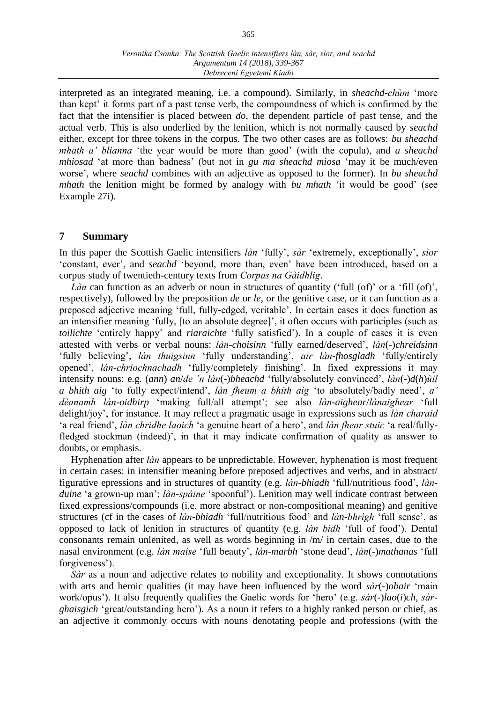interpreted as an integrated meaning, i.e. a compound). Similarly, in *sheachd-chùm* ʻmore than kept' it forms part of a past tense verb, the compoundness of which is confirmed by the fact that the intensifier is placed between *do*, the dependent particle of past tense, and the actual verb. This is also underlied by the lenition, which is not normally caused by *seachd* either, except for three tokens in the corpus. The two other cases are as follows: *bu sheachd mhath a' blianna* ʻthe year would be more than good' (with the copula), and *a sheachd mhiosad* ʻat more than badness' (but not in *gu ma sheachd miosa* ʻmay it be much/even worse', where *seachd* combines with an adjective as opposed to the former). In *bu sheachd mhath* the lenition might be formed by analogy with *bu mhath* ʻit would be good' (see Example 27i).

## **7 Summary**

In this paper the Scottish Gaelic intensifiers *làn* ʻfully', *sàr* ʻextremely, exceptionally', *sìor* ʻconstant, ever', and *seachd* ʻbeyond, more than, even' have been introduced, based on a corpus study of twentieth-century texts from *Corpas na Gàidhlig*.

*Làn* can function as an adverb or noun in structures of quantity ('full (of)' or a 'fill (of)', respectively), followed by the preposition *de* or *le*, or the genitive case, or it can function as a preposed adjective meaning ʻfull, fully-edged, veritable'. In certain cases it does function as an intensifier meaning ʻfully, [to an absolute degree]', it often occurs with participles (such as *toilichte* ʻentirely happy' and *riaraichte* ʻfully satisfied'). In a couple of cases it is even attested with verbs or verbal nouns: *làn-choisinn* ʻfully earned/deserved', *làn*(*-*)*chreidsinn* ʻfully believing', *làn thuigsinn* ʻfully understanding', *air làn-fhosgladh* ʻfully/entirely opened', *làn-chrìochnachadh* ʻfully/completely finishing'. In fixed expressions it may intensify nouns: e.g. (*ann*) *an*/*de 'n làn*(*-*)*bheachd* ʻfully/absolutely convinced', *làn*(*-*)*d*(*h*)*ùil a bhith aig* ʻto fully expect/intend', *làn fheum a bhith aig* ʻto absolutely/badly need', *a' dèanamh làn-oidhirp* ʻmaking full/all attempt'; see also *làn-aighear*/*lànaighear* ʻfull delight/joy', for instance. It may reflect a pragmatic usage in expressions such as *làn charaid* ʻa real friend', *làn chridhe laoich* ʻa genuine heart of a hero', and *làn fhear stuic* ʻa real/fullyfledged stockman (indeed)', in that it may indicate confirmation of quality as answer to doubts, or emphasis.

Hyphenation after *làn* appears to be unpredictable. However, hyphenation is most frequent in certain cases: in intensifier meaning before preposed adjectives and verbs, and in abstract/ figurative epressions and in structures of quantity (e.g. *làn-bhiadh* ʻfull/nutritious food', *lànduine* ʻa grown-up man'; *làn-spàine* ʻspoonful'). Lenition may well indicate contrast between fixed expressions/compounds (i.e. more abstract or non-compositional meaning) and genitive structures (cf in the cases of *làn-bhiadh* ʻfull/nutritious food' and *làn-bhrìgh* ʻfull sense', as opposed to lack of lenition in structures of quantity (e.g. *làn bìdh* ʻfull of food'). Dental consonants remain unlenited, as well as words beginning in /m/ in certain cases, due to the nasal environment (e.g. *làn maise* ʻfull beauty', *làn-marbh* ʻstone dead', *làn*(-)*mathanas* ʻfull forgiveness').

*Sàr* as a noun and adjective relates to nobility and exceptionality. It shows connotations with arts and heroic qualities (it may have been influenced by the word *sàr*(-)*obair* ʻmain work/opus'). It also frequently qualifies the Gaelic words for ʻhero' (e.g. *sàr*(-)*lao*(*i*)*ch*, *sàrghaisgich* ʻgreat/outstanding hero'). As a noun it refers to a highly ranked person or chief, as an adjective it commonly occurs with nouns denotating people and professions (with the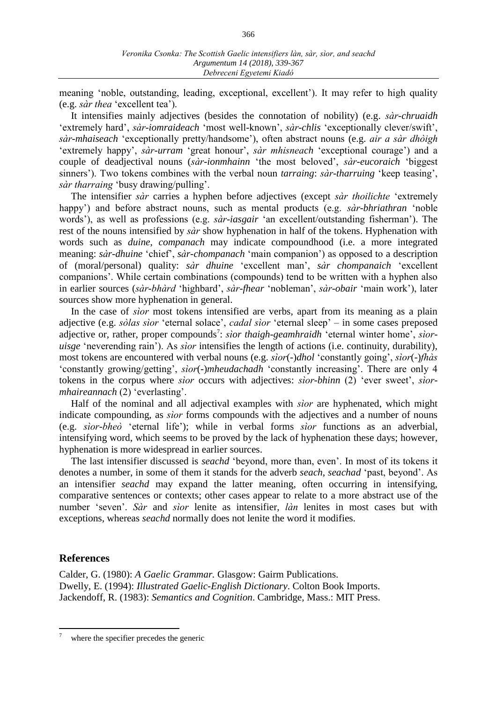meaning ʻnoble, outstanding, leading, exceptional, excellent'). It may refer to high quality (e.g. *sàr thea* ʻexcellent tea').

It intensifies mainly adjectives (besides the connotation of nobility) (e.g. *sàr-chruaidh*  ʻextremely hard', *sàr-iomraideach* ʻmost well-known', *sàr-chlis* ʻexceptionally clever/swift', *sàr-mhaiseach* ʻexceptionally pretty/handsome'), often abstract nouns (e.g. *air a sàr dhòigh* ʻextremely happy', *sàr-urram* ʻgreat honour', *sàr mhisneach* ʻexceptional courage') and a couple of deadjectival nouns (*sàr-ionmhainn* ʻthe most beloved', *sàr-eucoraich* ʻbiggest sinners'). Two tokens combines with the verbal noun *tarraing*: *sàr-tharruing* ʻkeep teasing', *sàr tharraing* ʻbusy drawing/pulling'.

The intensifier *sàr* carries a hyphen before adjectives (except *sàr thoilichte* ʻextremely happy') and before abstract nouns, such as mental products (e.g. *sàr-bhriathran* ʻnoble words'), as well as professions (e.g. *sàr-iasgair* ʻan excellent/outstanding fisherman'). The rest of the nouns intensified by *sàr* show hyphenation in half of the tokens. Hyphenation with words such as *duine*, *companach* may indicate compoundhood (i.e. a more integrated meaning: *sàr-dhuine* ʻchief', *sàr-chompanach* ʻmain companion') as opposed to a description of (moral/personal) quality: *sàr dhuine* ʻexcellent man', *sàr chompanaich* ʻexcellent companions'. While certain combinations (compounds) tend to be written with a hyphen also in earlier sources (*sàr-bhàrd* ʻhighbard', *sàr-fhear* ʻnobleman', *sàr-obair* ʻmain work'), later sources show more hyphenation in general.

In the case of *sìor* most tokens intensified are verbs, apart from its meaning as a plain adjective (e.g. *sòlas sìor* ʻeternal solace', *cadal sìor* ʻeternal sleep' – in some cases preposed adjective or, rather, proper compounds<sup>7</sup>: *sìor thaigh-geamhraidh* 'eternal winter home', *sìoruisge* ʻneverending rain'). As *sìor* intensifies the length of actions (i.e. continuity, durability), most tokens are encountered with verbal nouns (e.g. *sìor*(-)*dhol* ʻconstantly going', *sìor*(-)*fhàs* ʻconstantly growing/getting', *sìor*(-)*mheudachadh* ʻconstantly increasing'. There are only 4 tokens in the corpus where *sìor* occurs with adjectives: *sìor-bhinn* (2) ʻever sweet', *sìormhaireannach* (2) ʻeverlasting'.

Half of the nominal and all adjectival examples with *sìor* are hyphenated, which might indicate compounding, as *sìor* forms compounds with the adjectives and a number of nouns (e.g. *sìor-bheò* ʻeternal life'); while in verbal forms *sìor* functions as an adverbial, intensifying word, which seems to be proved by the lack of hyphenation these days; however, hyphenation is more widespread in earlier sources.

The last intensifier discussed is *seachd* ʻbeyond, more than, even'. In most of its tokens it denotes a number, in some of them it stands for the adverb *seach*, *seachad* ʻpast, beyond'. As an intensifier *seachd* may expand the latter meaning, often occurring in intensifying, comparative sentences or contexts; other cases appear to relate to a more abstract use of the number ʻseven'. *Sàr* and *sìor* lenite as intensifier, *làn* lenites in most cases but with exceptions, whereas *seachd* normally does not lenite the word it modifies.

## **References**

Calder, G. (1980): *A Gaelic Grammar.* Glasgow: Gairm Publications. Dwelly, E. (1994): *Illustrated Gaelic-English Dictionary*. Colton Book Imports. Jackendoff, R. (1983): *Semantics and Cognition*. Cambridge, Mass.: MIT Press.

 $\overline{a}$ where the specifier precedes the generic